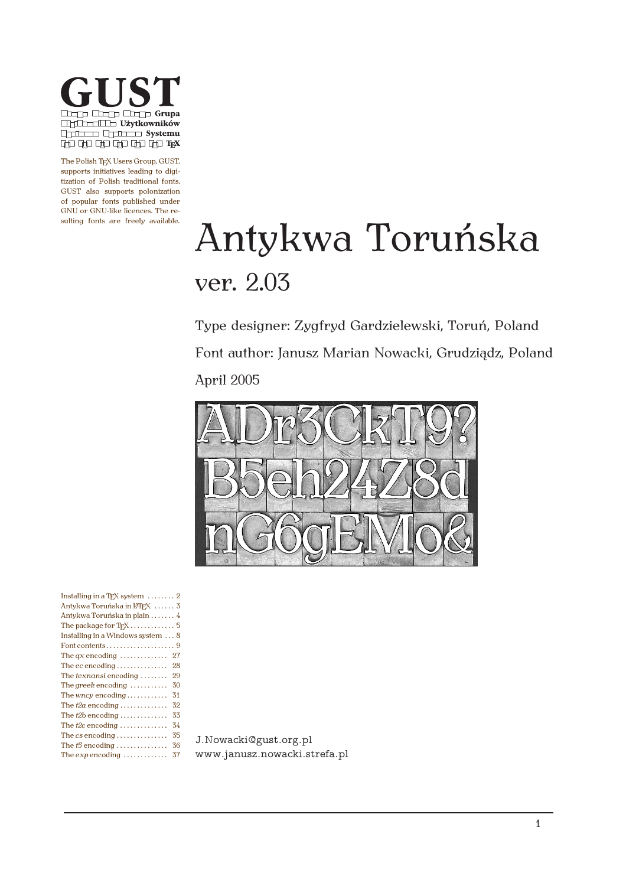

The Polish TEX Users Group, GUST, supports initiatives leading to digitization of Polish traditional fonts. GUST also supports polonization of popular fonts published under GNU or GNU-like licences. The resulting fonts are freely available.

# Antykwa Toruńska ver. 2.03

Type designer: Zygfryd Gardzielewski, Toruń, Poland Font author: Janusz Marian Nowacki, Grudziądz, Poland April 2005



| Installing in a T <sub>F</sub> X system $\dots \dots 2$ |
|---------------------------------------------------------|
| Antykwa Toruńska in L <sup>T</sup> FX  3                |
| Antykwa Toruńska in plain  4                            |
| The package for $T_F X$ 5                               |
| Installing in a Windows system  8                       |
|                                                         |
| 27                                                      |
| 28                                                      |
| 29                                                      |
| 30                                                      |
| 31                                                      |
| 32                                                      |
| 33                                                      |
| 34                                                      |
| 35                                                      |
| 36                                                      |
| 37                                                      |
|                                                         |

J.Nowacki@gust.org.pl www.janusz.nowacki.strefa.pl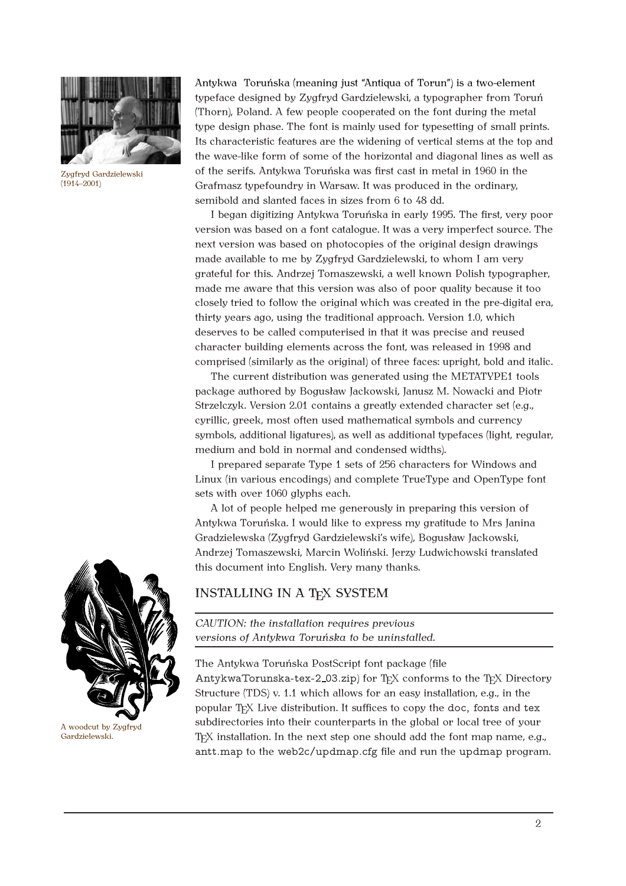

Zygfryd Gardzielewski (1914–2001)

Antykwa Toruńska (meaning just "Antiqua of Torun") is a two-element typeface designed by Zygfryd Gardzielewski, a typographer from Toruń (Thorn), Poland. A few people cooperated on the font during the metal type design phase. The font is mainly used for typesetting of small prints. Its characteristic features are the widening of vertical stems at the top and the wave-like form of some of the horizontal and diagonal lines as well as of the serifs. Antykwa Toruńska was first cast in metal in 1960 in the Grafmasz typefoundry in Warsaw. It was produced in the ordinary, semibold and slanted faces in sizes from 6 to 48 dd.

I began digitizing Antykwa Toruńska in early 1995. The first, very poor version was based on a font catalogue. It was a very imperfect source. The next version was based on photocopies of the original design drawings made available to me by Zygfryd Gardzielewski, to whom I am very grateful for this. Andrzej Tomaszewski, a well known Polish typographer, made me aware that this version was also of poor quality because it too closely tried to follow the original which was created in the pre-digital era, thirty years ago, using the traditional approach. Version 1.0, which deserves to be called computerised in that it was precise and reused character building elements across the font, was released in 1998 and comprised (similarly as the original) of three faces: upright, bold and italic.

The current distribution was generated using the METATYPE1 tools package authored by Bogusław Jackowski, Janusz M. Nowacki and Piotr Strzelczyk. Version 2.01 contains a greatly extended character set (e.g., cyrillic, greek, most often used mathematical symbols and currency symbols, additional ligatures), as well as additional typefaces (light, regular, medium and bold in normal and condensed widths).

I prepared separate Type 1 sets of 256 characters for Windows and Linux (in various encodings) and complete TrueType and OpenType font sets with over 1060 glyphs each.

A lot of people helped me generously in preparing this version of Antykwa Toruńska. I would like to express my gratitude to Mrs Janina Gradzielewska (Zygfryd Gardzielewski's wife), Bogusław Jackowski, Andrzej Tomaszewski, Marcin Woliński. Jerzy Ludwichowski translated this document into English. Very many thanks.

### INSTALLING IN A TFX SYSTEM

*CAUTION: the installation requires previous versions of Antykwa Toruńska to be uninstalled.*

The Antykwa Toruńska PostScript font package (file

AntykwaTorunska-tex-2\_03.zip) for  $T_FX$  conforms to the  $T_FX$  Directory Structure (TDS) v. 1.1 which allows for an easy installation, e.g., in the popular T<sub>F</sub>X Live distribution. It suffices to copy the doc, fonts and tex subdirectories into their counterparts in the global or local tree of your T<sub>F</sub>X installation. In the next step one should add the font map name, e.g., antt.map to the web2c/updmap.cfg file and run the updmap program.



Gardzielewski.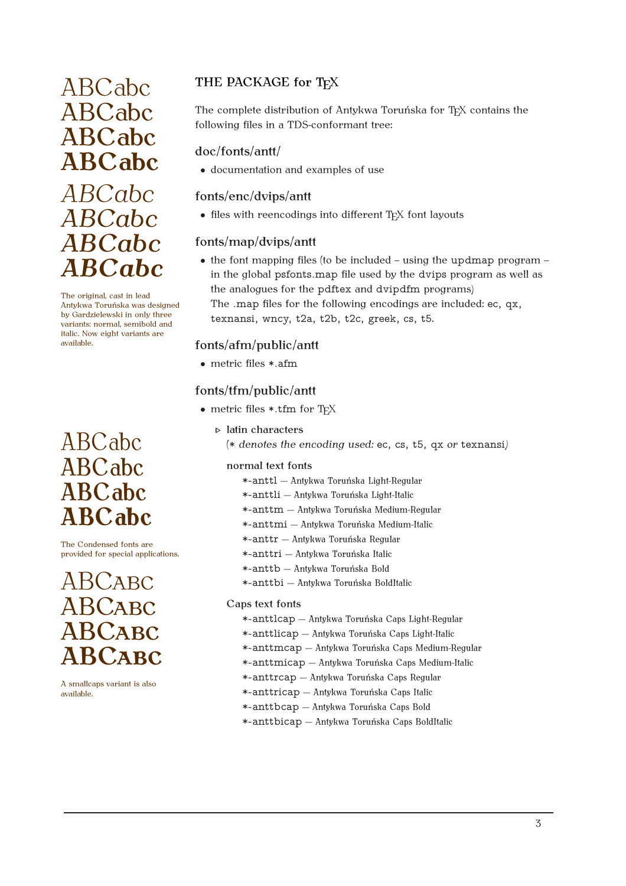## ABCabc ABCabc **ABCabc** *ABCabc ABCabc ABCabc ABCabc*

The original, cast in lead Antykwa Toruńska was designed by Gardzielewski in only three variants: normal, semibold and italic. Now eight variants are available.

## ABCabc ABCabc ABCabc **ABCabc**

The Condensed fonts are provided for special applications.

## ABCABC ABCABC ABCABC **ABCABC**

A smallcaps variant is also available.

## ABCabc THE PACKAGE for TEX

The complete distribution of Antykwa Toruńska for TFX contains the following files in a TDS-conformant tree:

### doc/fonts/antt/

*•* documentation and examples of use

### fonts/enc/dvips/antt

• files with reencodings into different T<sub>E</sub>X font layouts

#### fonts/map/dvips/antt

• the font mapping files (to be included – using the updmap program – in the global psfonts.map file used by the dvips program as well as the analogues for the pdftex and dvipdfm programs)

The .map files for the following encodings are included: ec, qx, texnansi, wncy, t2a, t2b, t2c, greek, cs, t5.

#### fonts/afm/public/antt

*•* metric files \*.afm

#### fonts/tfm/public/antt

- metric files \*.tfm for T<sub>F</sub>X
	- $\triangleright$  latin characters
		- (\* *denotes the encoding used:* ec, cs, t5, qx *or* texnansi*)*

#### normal text fonts

- \*-anttl Antykwa Toruńska Light-Regular
- \*-anttli Antykwa Toruńska Light-Italic
- \*-anttm Antykwa Toruńska Medium-Regular
- \*-anttmi Antykwa Toruńska Medium-Italic
- \*-anttr Antykwa Toruńska Regular
- \*-anttri Antykwa Toruńska Italic
- \*-anttb Antykwa Toruńska Bold
- \*-anttbi Antykwa Toruńska BoldItalic

#### Caps text fonts

- \*-anttlcap Antykwa Toruńska Caps Light-Regular
- \*-anttlicap Antykwa Toruńska Caps Light-Italic
- \*-anttmcap Antykwa Toruńska Caps Medium-Regular
- \*-anttmicap Antykwa Toruńska Caps Medium-Italic
- \*-anttrcap Antykwa Toruńska Caps Regular
- \*-anttricap Antykwa Toruńska Caps Italic
- \*-anttbcap Antykwa Toruńska Caps Bold
- \*-anttbicap Antykwa Toruńska Caps BoldItalic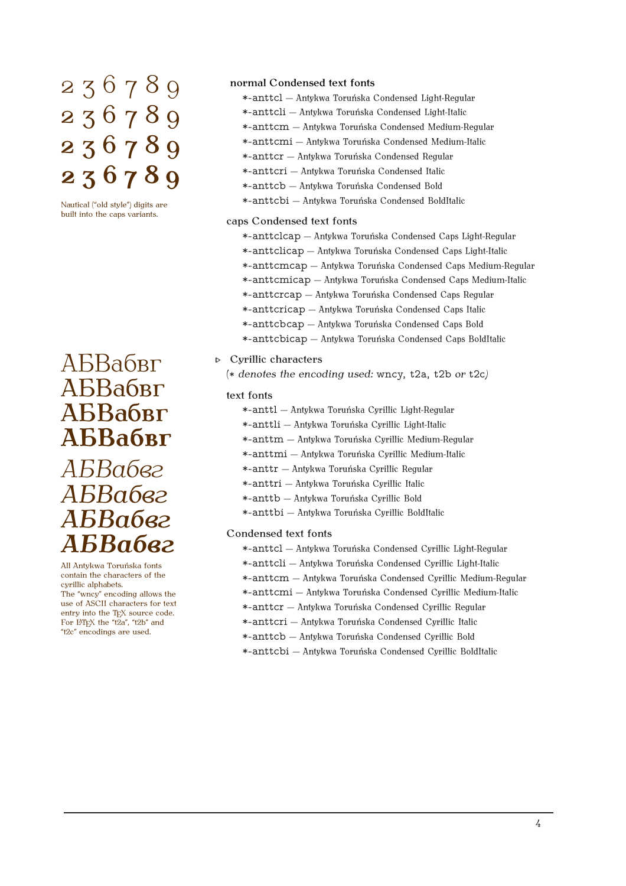## $236789$  normal Condensed text fonts 236789 236789 **236789**

Nautical ("old style") digits are built into the caps variants.

## AБВабвг **Programs** Cyrillic characters АБВабвг АБВабвг **АБВабвг** *АБВабвг АБВабвг АБВабвг*

All Antykwa Toruńska fonts contain the characters of the cyrillic alphabets. The "wncy" encoding allows the use of ASCII characters for text entry into the TEX source code. For ETFX the "t2a", "t2b" and "t2c" encodings are used.

*АБВабвг*

- \*-anttcl Antykwa Toruńska Condensed Light-Regular
- \*-anttcli Antykwa Toruńska Condensed Light-Italic
- \*-anttcm Antykwa Toruńska Condensed Medium-Regular
- \*-anttcmi Antykwa Toruńska Condensed Medium-Italic
- \*-anttcr Antykwa Toruńska Condensed Regular
- \*-anttcri Antykwa Toruńska Condensed Italic
- \*-anttcb Antykwa Toruńska Condensed Bold
- \*-anttcbi Antykwa Toruńska Condensed BoldItalic

#### caps Condensed text fonts

- \*-anttclcap Antykwa Toruńska Condensed Caps Light-Regular
- \*-anttclicap Antykwa Toruńska Condensed Caps Light-Italic
- \*-anttcmcap Antykwa Toruńska Condensed Caps Medium-Regular
- \*-anttcmicap Antykwa Toruńska Condensed Caps Medium-Italic
- \*-anttcrcap Antykwa Toruńska Condensed Caps Regular
- \*-anttcricap Antykwa Toruńska Condensed Caps Italic
- \*-anttcbcap Antykwa Toruńska Condensed Caps Bold
- \*-anttcbicap Antykwa Toruńska Condensed Caps BoldItalic

(\* *denotes the encoding used:* wncy, t2a, t2b *or* t2c*)*

#### text fonts

- \*-anttl Antykwa Toruńska Cyrillic Light-Regular
- \*-anttli Antykwa Toruńska Cyrillic Light-Italic
- \*-anttm Antykwa Toruńska Cyrillic Medium-Regular
- \*-anttmi Antykwa Toruńska Cyrillic Medium-Italic
- \*-anttr Antykwa Toruńska Cyrillic Regular
- \*-anttri Antykwa Toruńska Cyrillic Italic
- \*-anttb Antykwa Toruńska Cyrillic Bold
- \*-anttbi Antykwa Toruńska Cyrillic BoldItalic

Condensed text fonts

- \*-anttcl Antykwa Toruńska Condensed Cyrillic Light-Regular
- \*-anttcli Antykwa Toruńska Condensed Cyrillic Light-Italic
- \*-anttcm Antykwa Toruńska Condensed Cyrillic Medium-Regular
- \*-anttcmi Antykwa Toruńska Condensed Cyrillic Medium-Italic
- \*-anttcr Antykwa Toruńska Condensed Cyrillic Regular
- \*-anttcri Antykwa Toruńska Condensed Cyrillic Italic
- \*-anttcb Antykwa Toruńska Condensed Cyrillic Bold
- \*-anttcbi Antykwa Toruńska Condensed Cyrillic BoldItalic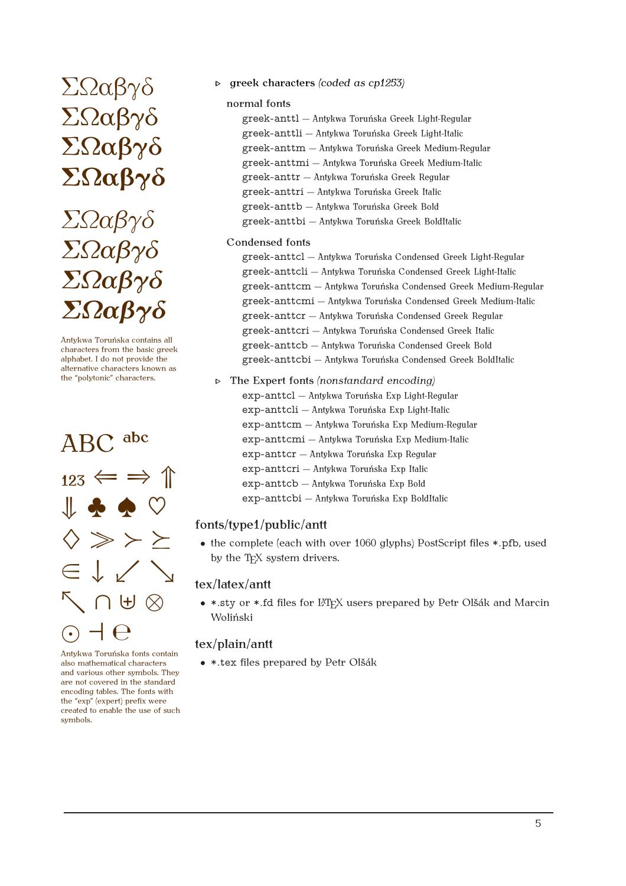# ΣΩαβγδ ΣΩαβγδ **ΣΩαβγδ**

## *ΣΩαβγδ ΣΩαβγδ ΣΩαβγδ ΣΩαβγδ*

Antykwa Toruńska contains all characters from the basic greek alphabet. I do not provide the alternative characters known as the "polytonic" characters.



Antykwa Toruńska fonts contain also mathematical characters and various other symbols. They are not covered in the standard encoding tables. The fonts with the "exp" (expert) prefix were created to enable the use of such symbols.

 $\sum\Omega\alpha\beta\gamma\delta$  **b** greek characters *(coded as cp1253)* 

#### normal fonts

greek-anttl Antykwa Toruńska Greek Light-Regular greek-anttli Antykwa Toruńska Greek Light-Italic greek-anttm Antykwa Toruńska Greek Medium-Regular greek-anttmi Antykwa Toruńska Greek Medium-Italic greek-anttr Antykwa Toruńska Greek Regular greek-anttri Antykwa Toruńska Greek Italic greek-anttb Antykwa Toruńska Greek Bold greek-anttbi Antykwa Toruńska Greek BoldItalic

#### Condensed fonts

greek-anttcl Antykwa Toruńska Condensed Greek Light-Regular greek-anttcli Antykwa Toruńska Condensed Greek Light-Italic greek-anttcm Antykwa Toruńska Condensed Greek Medium-Regular greek-anttcmi Antykwa Toruńska Condensed Greek Medium-Italic greek-anttcr Antykwa Toruńska Condensed Greek Regular greek-anttcri Antykwa Toruńska Condensed Greek Italic greek-anttcb Antykwa Toruńska Condensed Greek Bold greek-anttcbi Antykwa Toruńska Condensed Greek BoldItalic

#### The Expert fonts *(nonstandard encoding)* exp-anttcl Antykwa Toruńska Exp Light-Regular exp-anttcli Antykwa Toruńska Exp Light-Italic exp-anttcm Antykwa Toruńska Exp Medium-Regular exp-anttcmi - Antykwa Toruńska Exp Medium-Italic exp-anttcr Antykwa Toruńska Exp Regular exp-anttcri Antykwa Toruńska Exp Italic exp-anttcb Antykwa Toruńska Exp Bold exp-anttcbi Antykwa Toruńska Exp BoldItalic

#### fonts/type1/public/antt

• the complete (each with over 1060 glyphs) PostScript files \*.pfb, used by the T<sub>F</sub>X system drivers.

#### tex/latex/antt

• \*.sty or \*.fd files for L<sup>AT</sup>EX users prepared by Petr Olšák and Marcin Woliński

#### tex/plain/antt

• \*.tex files prepared by Petr Olšák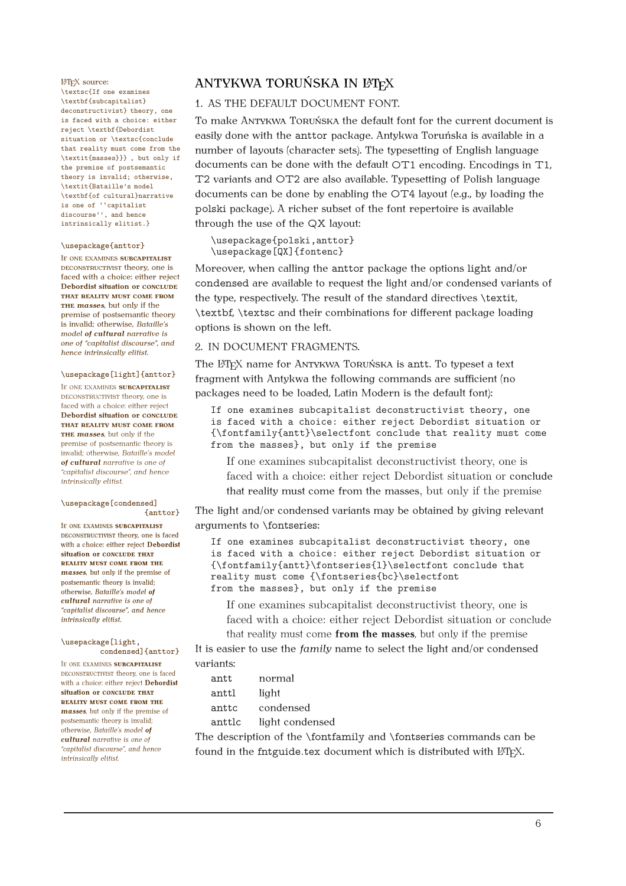\textsc{If one examines \textbf{subcapitalist} deconstructivist} theory, one is faced with a choice: either reject \textbf{Debordist situation or \textsc{conclude that reality must come from the \textit{masses}}} , but only if the premise of postsemantic theory is invalid; otherwise, \textit{Bataille's model \textbf{of cultural}narrative is one of ''capitalist discourse'', and hence intrinsically elitist.}

#### \usepackage{anttor}

IF ONE EXAMINES **SUBCAPITALIST** DECONSTRUCTIVIST theory, one is faced with a choice: either reject **Debordist situation or CONCLUDE THAT REALITY MUST COME FROM THE** *masses*, but only if the premise of postsemantic theory is invalid; otherwise, *Bataille's model of cultural narrative is one of "capitalist discourse", and hence intrinsically elitist.*

#### \usepackage[light]{anttor}

IF ONE EXAMINES **SUBCAPITALIST** DECONSTRUCTIVIST theory, one is faced with a choice: either reject **Debordist situation or CONCLUDE THAT REALITY MUST COME FROM THE** *masses*, but only if the premise of postsemantic theory is invalid; otherwise, *Bataille's model of cultural narrative is one of "capitalist discourse", and hence intrinsically elitist.*

#### \usepackage[condensed] {anttor}

IF ONE EXAMINES **SUBCAPITALIST** DECONSTRUCTIVIST theory, one is faced with a choice: either reject **Debordist situation or CONCLUDE THAT REALITY MUST COME FROM THE** *masses*, but only if the premise of postsemantic theory is invalid; otherwise, *Bataille's model of cultural narrative is one of "capitalist discourse", and hence intrinsically elitist.*

#### \usepackage[light, condensed]{anttor}

IF ONE EXAMINES **SUBCAPITALIST** DECONSTRUCTIVIST theory, one is faced with a choice: either reject **Debordist situation or CONCLUDE THAT REALITY MUST COME FROM THE** *masses*, but only if the premise of postsemantic theory is invalid; otherwise, *Bataille's model of cultural narrative is one of "capitalist discourse", and hence intrinsically elitist.*

#### **LATEX SOURCE:** ANTYKWA TORUŃSKA IN LATEX

#### 1. AS THE DEFAULT DOCUMENT FONT.

To make ANTYKWA TORUŃSKA the default font for the current document is easily done with the anttor package. Antykwa Toruńska is available in a number of layouts (character sets). The typesetting of English language documents can be done with the default OT1 encoding. Encodings in T1, T2 variants and OT2 are also available. Typesetting of Polish language documents can be done by enabling the OT4 layout (e.g., by loading the polski package). A richer subset of the font repertoire is available through the use of the QX layout:

\usepackage{polski,anttor} \usepackage[QX]{fontenc}

Moreover, when calling the anttor package the options light and/or condensed are available to request the light and/or condensed variants of the type, respectively. The result of the standard directives \textit, \textbf, \textsc and their combinations for different package loading options is shown on the left.

#### 2. IN DOCUMENT FRAGMENTS.

The L<sup>A</sup>T<sub>E</sub>X name for ANTYKWA TORUŃSKA is antt. To typeset a text fragment with Antykwa the following commands are sufficient (no packages need to be loaded, Latin Modern is the default font):

If one examines subcapitalist deconstructivist theory, one is faced with a choice: either reject Debordist situation or {\fontfamily{antt}\selectfont conclude that reality must come from the masses}, but only if the premise

If one examines subcapitalist deconstructivist theory, one is faced with a choice: either reject Debordist situation or conclude that reality must come from the masses, but only if the premise

The light and/or condensed variants may be obtained by giving relevant arguments to \fontseries:

If one examines subcapitalist deconstructivist theory, one is faced with a choice: either reject Debordist situation or {\fontfamily{antt}\fontseries{l}\selectfont conclude that reality must come {\fontseries{bc}\selectfont from the masses}, but only if the premise

If one examines subcapitalist deconstructivist theory, one is faced with a choice: either reject Debordist situation or conclude

that reality must come **from the masses**, but only if the premise It is easier to use the *family* name to select the light and/or condensed variants:

| antt   | normal          |
|--------|-----------------|
| anttl  | light           |
| anttc  | condensed       |
| anttlc | light condensed |
|        |                 |

The description of the \fontfamily and \fontseries commands can be found in the fntguide.tex document which is distributed with LATEX.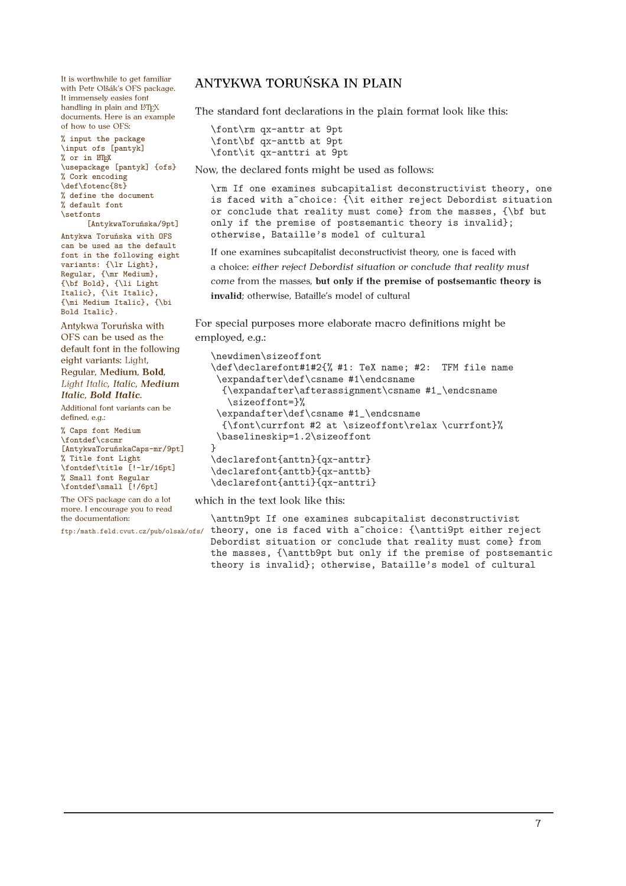with Petr Olšák's OFS package. It immensely easies font handling in plain and  $\operatorname{\mathbb{H}T_{E}}\!\!X$ documents. Here is an example of how to use OFS:

% input the package \input ofs [pantyk]  $%$  or in  $L$ <sub>TF</sub>X \usepackage [pantyk] {ofs} % Cork encoding \def\fotenc{8t} % define the document % default font \setfonts

[AntykwaToruńska/9pt] Antykwa Toruńska with OFS can be used as the default font in the following eight variants: {\lr Light}, Regular, {\mr Medium}, {\bf Bold}, {\li Light Italic}, {\it Italic}, {\mi Medium Italic}, {\bi Bold Italic}.

Antykwa Toruńska with OFS can be used as the default font in the following eight variants: Light, Regular, Medium, **Bold**, *Light Italic*, *Italic*, *Medium Italic*, *Bold Italic*.

Additional font variants can be defined, e.g.:

% Caps font Medium \fontdef\cscmr [AntykwaToruńskaCaps-mr/9pt] % Title font Light \fontdef\title [!-lr/16pt] % Small font Regular \fontdef\small [!/6pt]

The OFS package can do a lot more. I encourage you to read the documentation:

ftp:/math.feld.cvut.cz/pub/olsak/ofs/

## It is worthwhile to get familiar ANTYKWA TORUŃSKA IN PLAIN

The standard font declarations in the plain format look like this:

```
\font\rm qx-anttr at 9pt
\font\bf qx-anttb at 9pt
\font\it qx-anttri at 9pt
```
Now, the declared fonts might be used as follows:

\rm If one examines subcapitalist deconstructivist theory, one is faced with a<sup>~</sup>choice: {\it either reject Debordist situation or conclude that reality must come} from the masses, {\bf but only if the premise of postsemantic theory is invalid}; otherwise, Bataille's model of cultural

If one examines subcapitalist deconstructivist theory, one is faced with a choice: *either reject Debordist situation or conclude that reality must come* from the masses, **but only if the premise of postsemantic theory is invalid**; otherwise, Bataille's model of cultural

For special purposes more elaborate macro definitions might be employed, e.g.:

```
\newdimen\sizeoffont
\def\declarefont#1#2{% #1: TeX name; #2: TFM file name
 \expandafter\def\csname #1\endcsname
  {\expandafter\afterassignment\csname #1_\endcsname
   \sizeoffont=}%
 \expandafter\def\csname #1_\endcsname
  {\font\currfont #2 at \sizeoffont\relax \currfont}%
 \baselineskip=1.2\sizeoffont
}
\declarefont{anttn}{qx-anttr}
\declarefont{anttb}{qx-anttb}
\declarefont{antti}{qx-anttri}
```
which in the text look like this:

\anttn9pt If one examines subcapitalist deconstructivist theory, one is faced with a choice: {\antti9pt either reject Debordist situation or conclude that reality must come} from the masses, {\anttb9pt but only if the premise of postsemantic theory is invalid}; otherwise, Bataille's model of cultural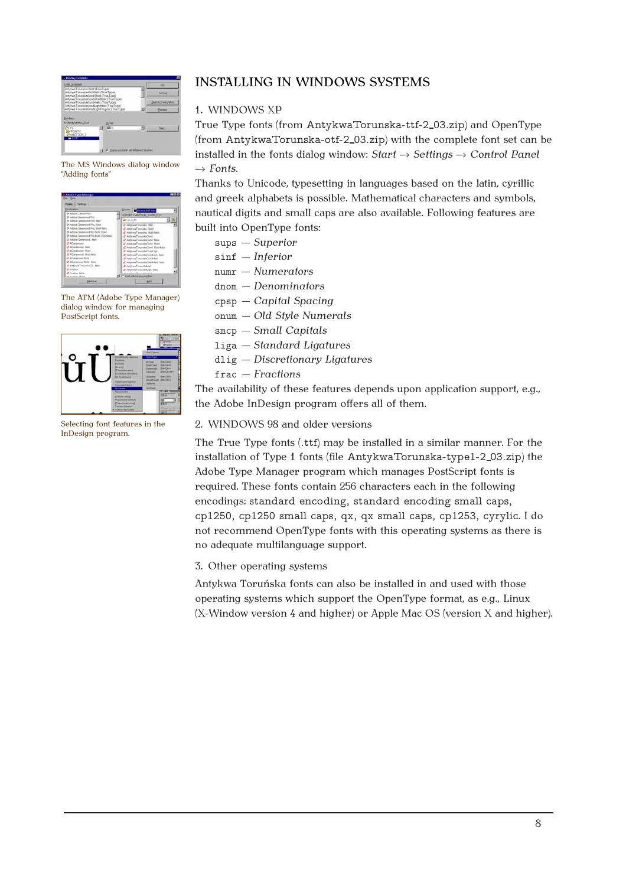

The MS Windows dialog window "Adding fonts"

| Deskoston                            |                                             |  |
|--------------------------------------|---------------------------------------------|--|
| D Adoba Canton Peo-                  | <b>Painters for Firsts</b>                  |  |
| O Adobe Generated Pro                | NUMBER YWNTTON JUVER 2 85                   |  |
| O Adolta Garanteed Fox Index         | Elinfert III 355                            |  |
| D Adobe Garanovic Pro Bold           | O ArkhedTonguin, Isic.                      |  |
| O Adoles Covenant Fox Rold Inle-     | If Athkan Tonnulus, Bold.                   |  |
| O Adube Generond Pro Bold, Bold.     | (Z ArtikusTownika, Boot lake)               |  |
| O Aduba Generand Fra Build Bold Ink: | <b>U. AntukumToronnical basi</b>            |  |
| <b>If Addis General Rate</b>         | d'ArbhursTonataidCond. Italia               |  |
| (2 Allegement)                       | If ArkhanTounsinCond, Book                  |  |
| <b>If Allmanumed hairs</b>           | <b>If Artshare? Improvements Thust have</b> |  |
| If AGentsini Bott                    | <b>IF Art hask Timesaked Torol age</b>      |  |
| (2 Allenament Shill take             | If Artyked Tonycrita(Sociology, Balo        |  |
| <b>If Allegement Build</b>           | 27 ArthmanTononstonConstituted              |  |
| If Allegement field, take            | of Arthur TimeskaCondidad, Italia           |  |
| of ArtikunTongulaCE, balo            | <b>Rei Joshual Toyota All Ave.</b>          |  |
| <b>CAMIN' LOT</b>                    | Of ArticlesonTomonolineLight, their         |  |
| <b>Z</b> Aveion telic                | <b>All Auto Ave A Wasselland at Auto</b>    |  |
| of a sales there                     | >1 if you can a more take the               |  |

The ATM (Adobe Type Manager) dialog window for managing PostScript fonts.



Selecting font features in the InDesign program.

### INSTALLING IN WINDOWS SYSTEMS

#### 1. WINDOWS XP

True Type fonts (from AntykwaTorunska-ttf-2 03.zip) and OpenType (from AntykwaTorunska-otf-2 03.zip) with the complete font set can be installed in the fonts dialog window: *Start* → *Settings* → *Control Panel*  $\rightarrow$  *Fonts.* 

Thanks to Unicode, typesetting in languages based on the latin, cyrillic and greek alphabets is possible. Mathematical characters and symbols, nautical digits and small caps are also available. Following features are built into OpenType fonts:

sups *Superior*

- sinf *Inferior*
- numr *Numerators*
- dnom *Denominators*
- cpsp *Capital Spacing*
- onum *Old Style Numerals*
- smcp *Small Capitals*
- liga *Standard Ligatures*
- dlig *Discretionary Ligatures*
- frac *Fractions*

The availability of these features depends upon application support, e.g., the Adobe InDesign program offers all of them.

#### 2. WINDOWS 98 and older versions

The True Type fonts (.ttf) may be installed in a similar manner. For the installation of Type 1 fonts (file AntykwaTorunska-type1-2 03.zip) the Adobe Type Manager program which manages PostScript fonts is required. These fonts contain 256 characters each in the following encodings: standard encoding, standard encoding small caps, cp1250, cp1250 small caps, qx, qx small caps, cp1253, cyrylic. I do not recommend OpenType fonts with this operating systems as there is no adequate multilanguage support.

#### 3. Other operating systems

Antykwa Toruńska fonts can also be installed in and used with those operating systems which support the OpenType format, as e.g., Linux (X-Window version 4 and higher) or Apple Mac OS (version X and higher).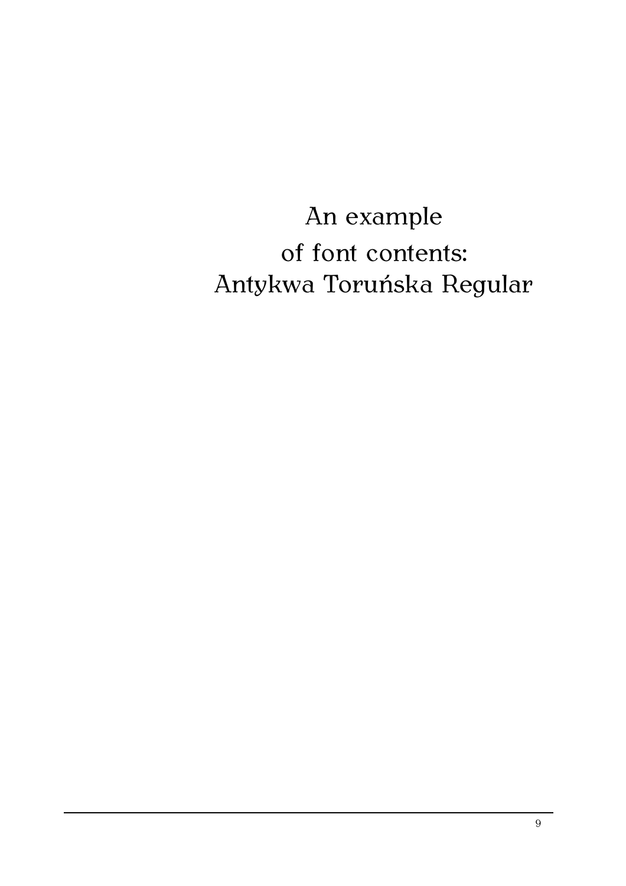An example of font contents: Antykwa Toruńska Regular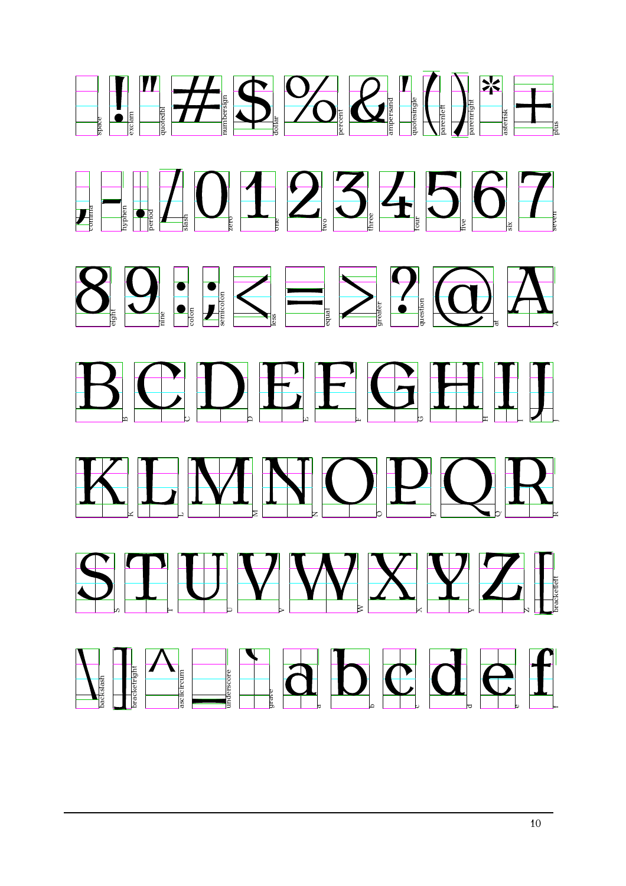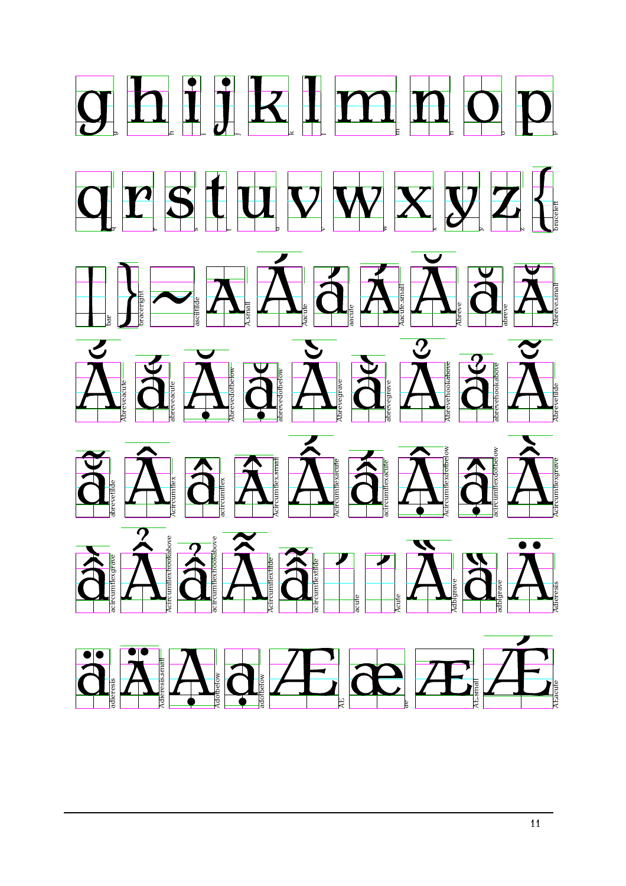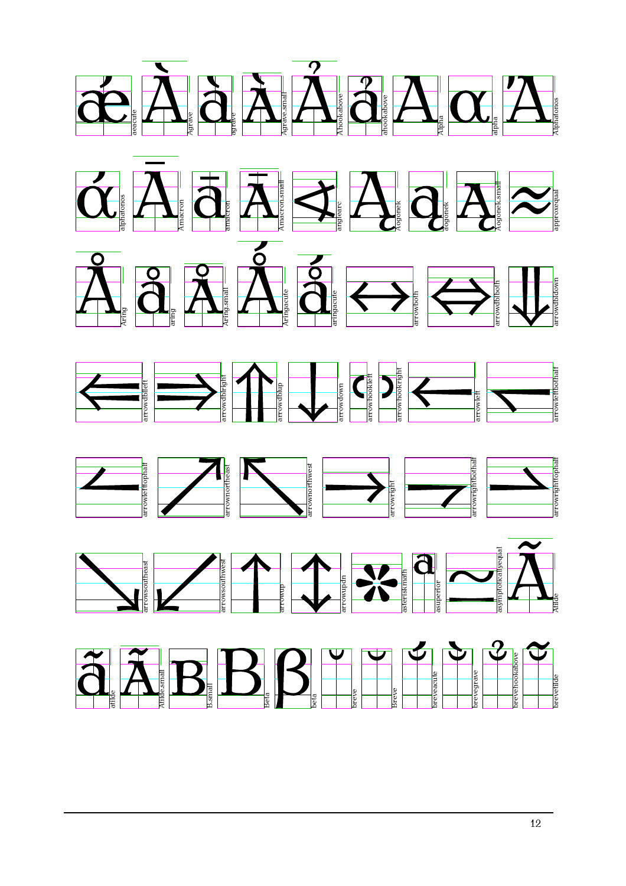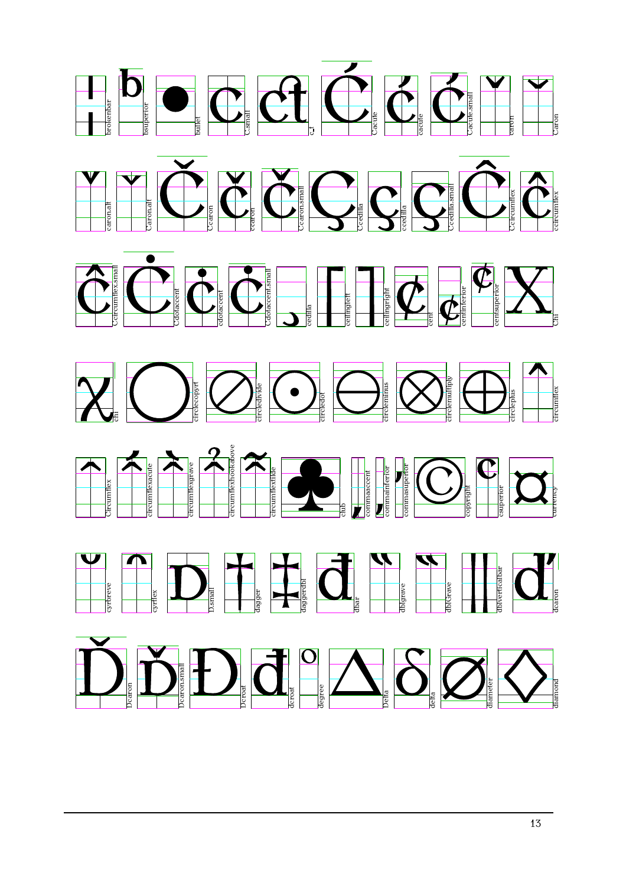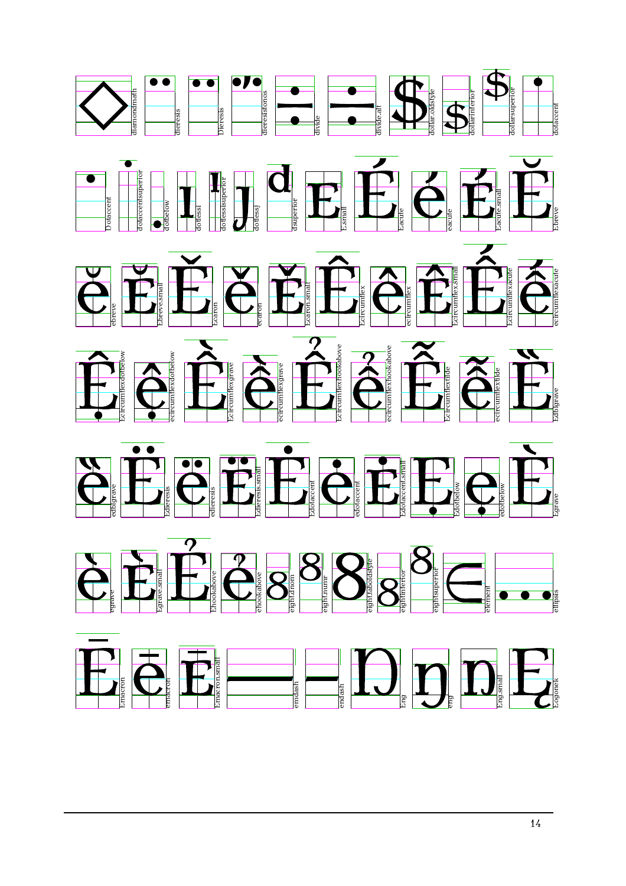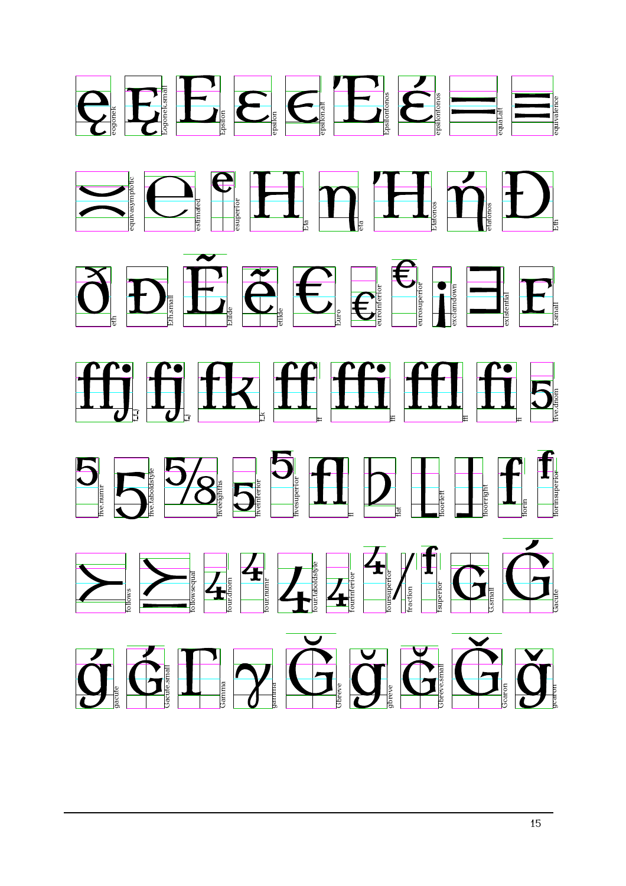















Gbreve.small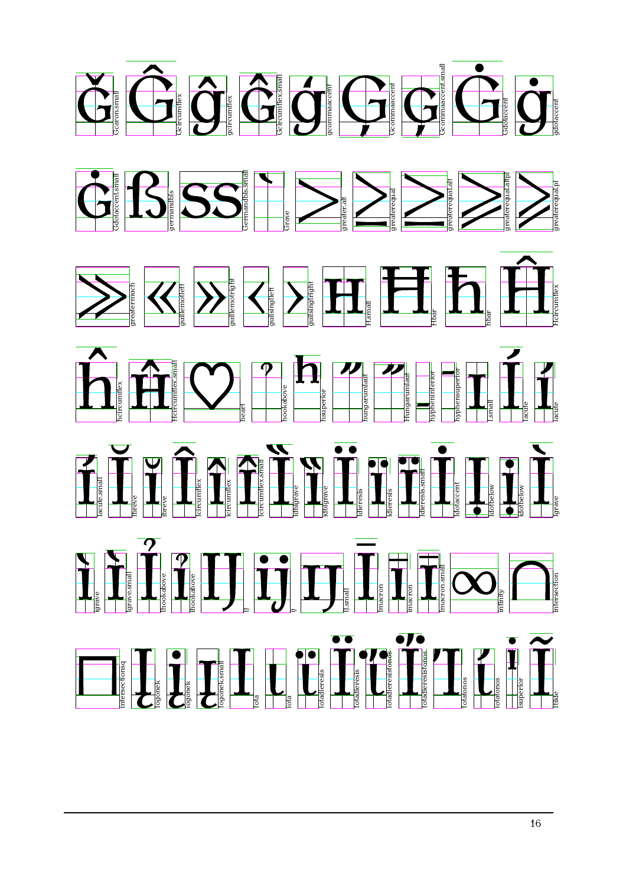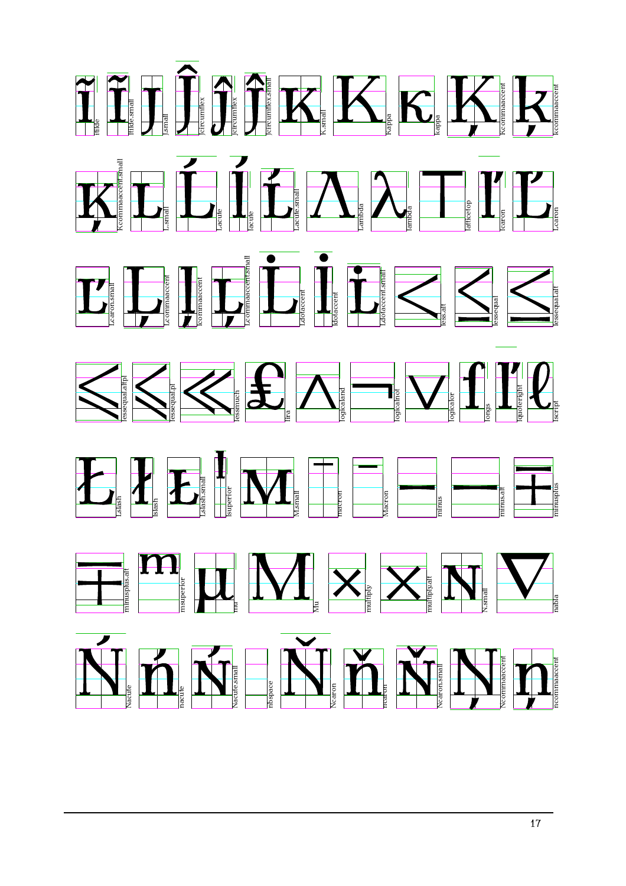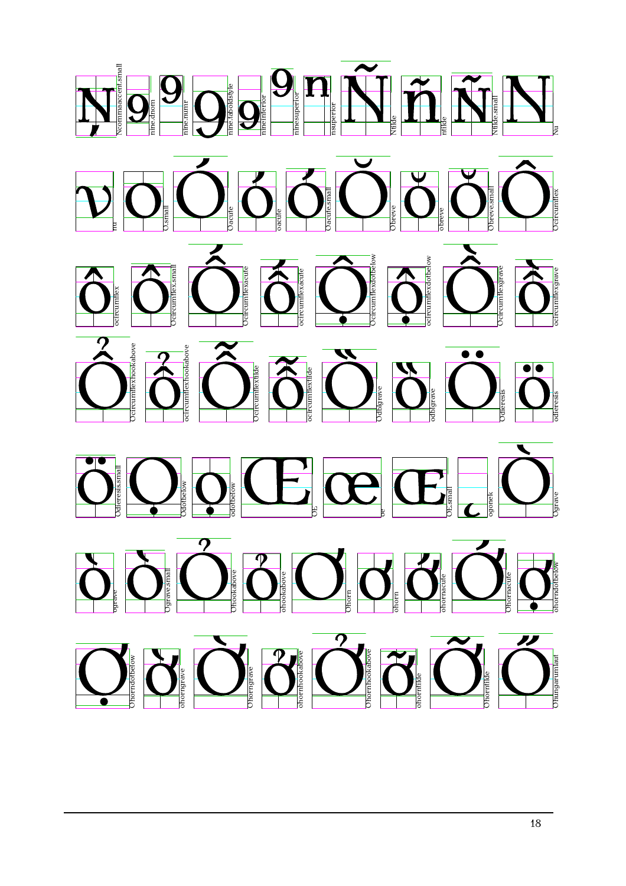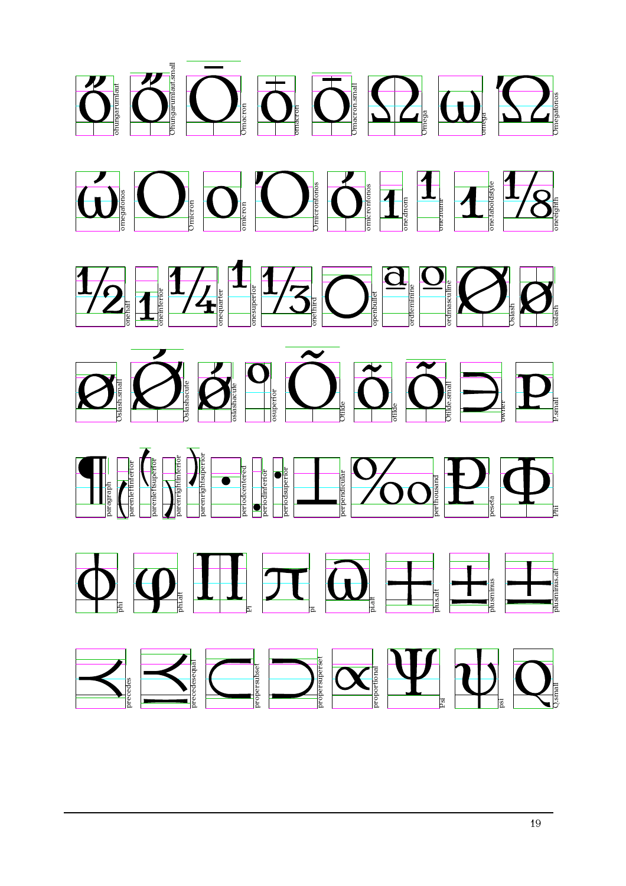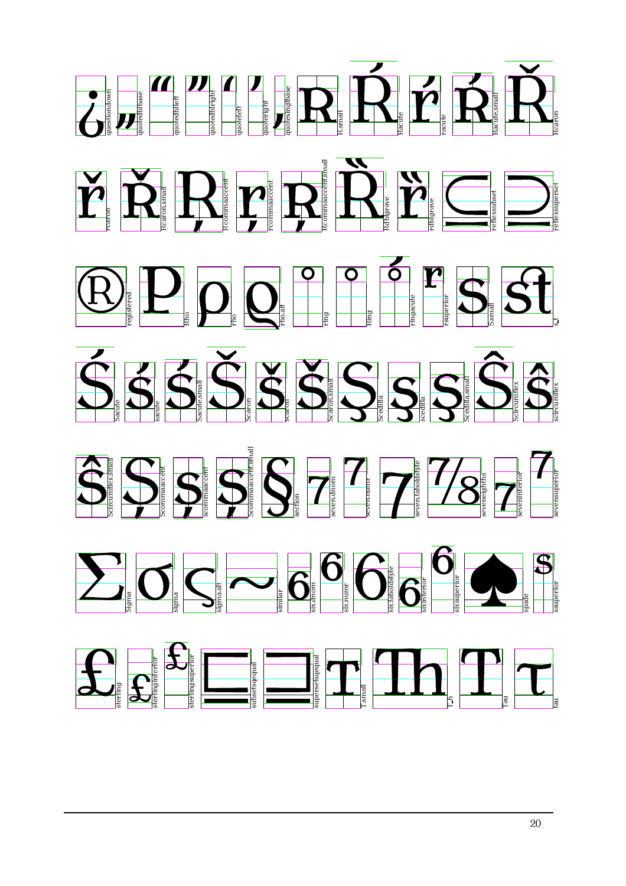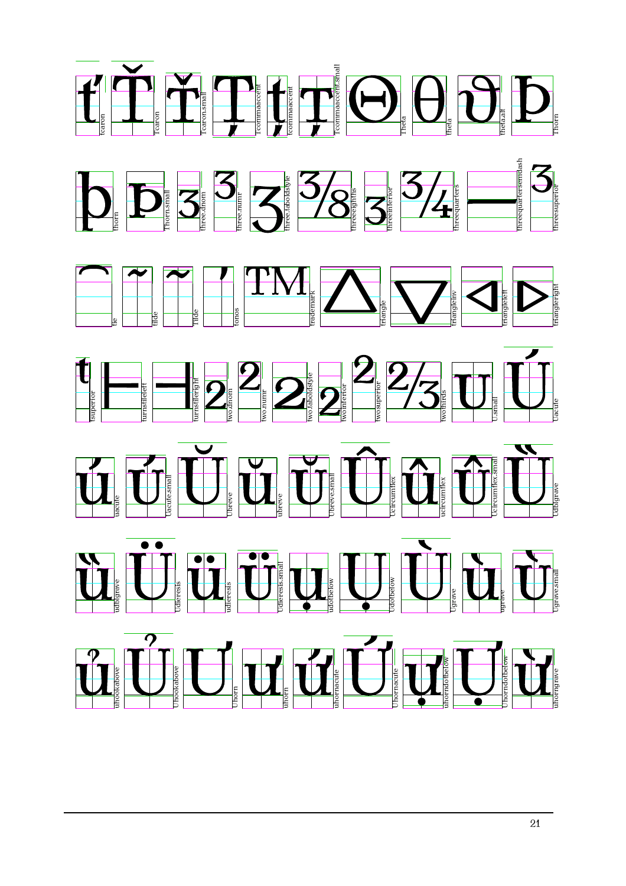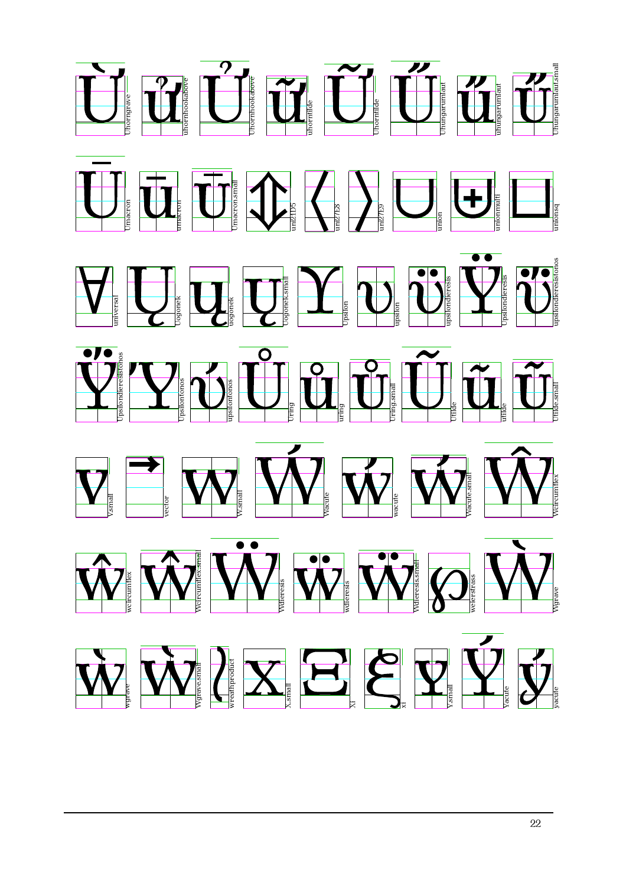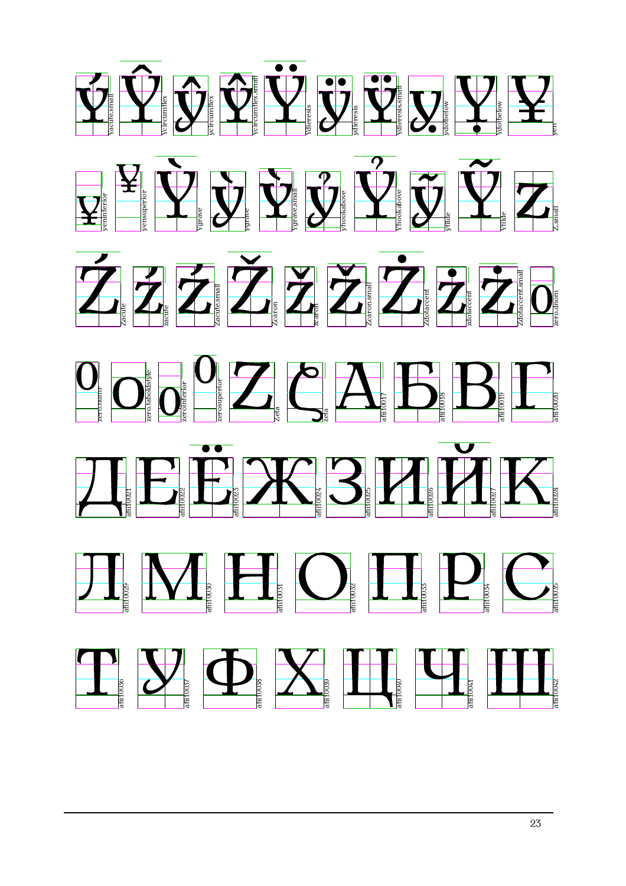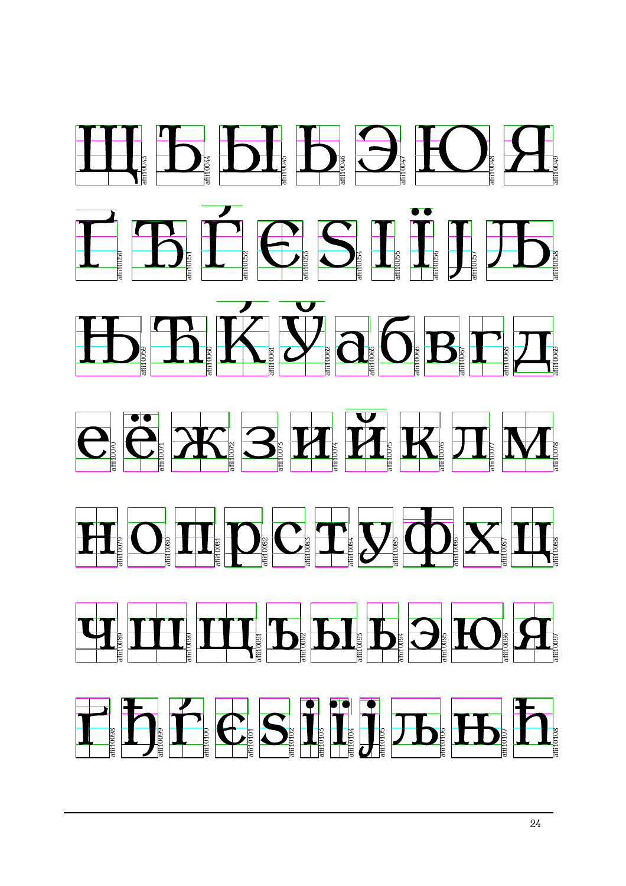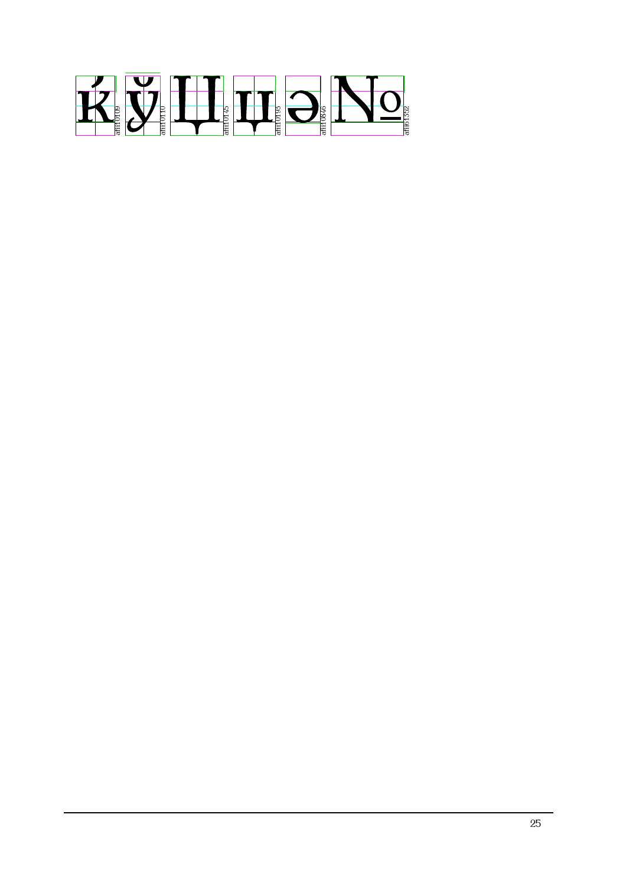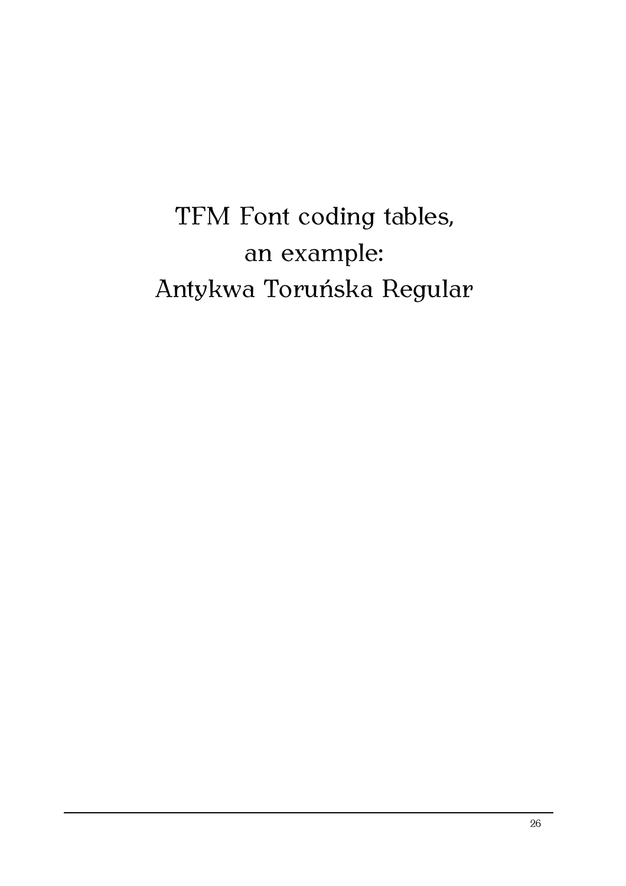# TFM Font coding tables, an example: Antykwa Toruńska Regular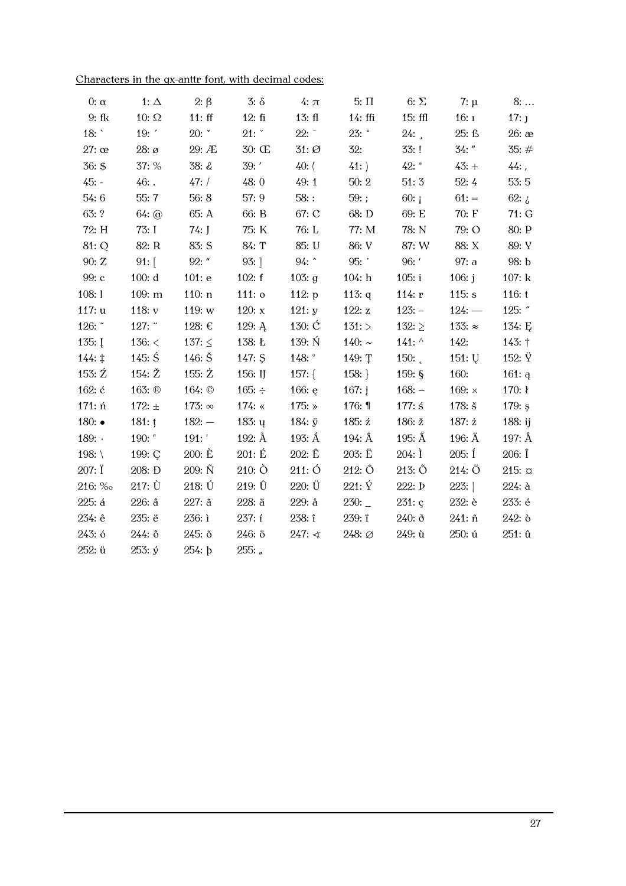| Characters in the qx-anttr font, with decimal codes: |  |  |  |  |
|------------------------------------------------------|--|--|--|--|
|                                                      |  |  |  |  |

| $0: \alpha$      | 1: $\Delta$               | $2: \beta$         | $3: \delta$      | $4: \pi$           | $5: \Pi$         | 6: $\Sigma$      | $7: \mu$           | $8: \ldots$       |
|------------------|---------------------------|--------------------|------------------|--------------------|------------------|------------------|--------------------|-------------------|
| $9:$ fk          | 10: $\Omega$              | 11:ff              | 12:fi            | 13: f <sub>l</sub> | $14:$ ffi        | $15:$ ffl        | 16:1               | $17:$ J           |
| 18: $\degree$    | 19:                       | 20:                | 21:              | $22: -$            | $23:$ $\degree$  | 24:              | 25: f <sub>3</sub> | $26:$ $\infty$    |
| $27:$ $\infty$   | $28: \mathfrak{g}$        | 29: Æ              | 30: Œ            | $31: \emptyset$    | 32:              | 33:!             | $34:$ "            | 35:#              |
| 36: \$           | 37: %                     | 38: &              | 39: '            | $40:$ (            | 41:              | $42:$ *          | $43: +$            | $44:$ ,           |
| $45: -$          | $46:$ .                   | 47: /              | 48:0             | 49:1               | 50:2             | 51:3             | 52:4               | 53:5              |
| 54:6             | 55:7                      | 56:8               | 57: 9            | $58:$ :            | 59:;             | 60: i            | $61: =$            | 62: $\zeta$       |
| 63: ?            | $64:$ $\odot$             | 65: A              | 66: B            | 67: C              | 68: D            | 69: E            | 70: F              | 71:G              |
| 72: H            | 73: I                     | $74:$ J            | 75: K            | 76: L              | 77: M            | 78: N            | 79: O              | 80: P             |
| 81: Q            | 82: R                     | 83: S              | 84: T            | 85: U              | 86: V            | 87: W            | 88: X              | 89: Y             |
| 90: Z            | $91:$ [                   | $92:$ "            | 93:]             | $94:$ ^            | 95:              | 96: '            | 97: a              | 98: b             |
| 99: c            | 100: d                    | 101: e             | 102: f           | 103: $g$           | 104: h           | 105: i           | 106: $j$           | 107: k            |
| 108:1            | 109: m                    | 110: n             | $111:$ $\circ$   | 112: $p$           | 113: $q$         | 114: $r$         | 115: s             | 116: t            |
| 117: u           | 118: $v$                  | 119: w             | 120: $x$         | 121: y             | 122: $z$         | $123: -$         | $124: -$           | 125: $"$          |
| 126: $\tilde{ }$ | 127:                      | 128: €             | 129: $A$         | 130: $\acute{C}$   | 131:             | 132: $\ge$       | 133: $\approx$     | 134: $E$          |
| $135:$ I         | 136: $<$                  | 137: $\leq$        | 138: Ł           | 139: N             | 140: $\sim$      | 141: $\wedge$    | 142:               | $143:$ †          |
| $144: \ddagger$  | 145: $\acute{S}$          | 146: $\check{S}$   | 147: \$          | 148: $^{\circ}$    | 149: T           | 150: $\epsilon$  | 151:U              | 152: $\ddot{Y}$   |
| 153: $2$         | 154: $\check{\mathbb{Z}}$ | 155: $\dot{Z}$     | 156: IJ          | 157: $\{$          | 158:             | 159: $§$         | 160:               | 161: a            |
| 162: ć           | 163: ®                    | 164: ©             | 165: $\div$      | 166: $e$           | 167: $i$         | $168: -$         | 169: $\times$      | 170: $\mathbf{I}$ |
| 171: ń           | 172: $\pm$                | 173: $\infty$      | 174: $\ll$       | 175: $\ast$        | 176: $\P$        | $177:$ ś         | 178: $\check{s}$   | 179: $s$          |
| 180: $\bullet$   | $181:$ !                  | $182: -$           | 183: $\mu$       | 184: $\ddot{y}$    | 185: ź           | 186: ž           | 187: $\dot{z}$     | 188 $:$ ij        |
| 189:             | 190: "                    | 191: '             | 192: $\AA$       | 193: $\AA$         | 194: $\hat{A}$   | 195: Ã           | 196: $\ddot{A}$    | 197: Å            |
| 198: $\setminus$ | 199: Ç                    | 200: E             | 201: E           | $202: \hat{E}$     | $203: \ddot{E}$  | $204:$ I         | $205:$ $\acute{1}$ | $206:$ $\hat{I}$  |
| $207: \ddot{I}$  | 208: Đ                    | $209: \tilde{N}$   | $210:$ $\bullet$ | 211:O              | 212:O            | $213: \tilde{O}$ | 214:O              | $215: \sigma$     |
| 216: ‰           | $217: \dot{U}$            | $218: \check{U}$   | 219: Û           | 220: Ü             | $221: \check{Y}$ | 222: <b>b</b>    | 223:               | $224:$ à          |
| 225: á           | 226: a                    | $227:$ $\tilde{a}$ | 228: ä           | $229:$ å           | 230:             | 231: c           | 232: è             | 233: é            |
| 234: ê           | 235: ë                    | 236: i             | 237: í           | $238:$ î           | 239: ï           | $240:$ ð         | $241: \tilde{n}$   | $242:$ ò          |
| 243: ó           | 244: 0                    | 245: õ             | 246: 0           | $247:$ ∢           | 248: Ø           | $249:$ ù         | 250: ú             | 251: û            |
| 252: ü           | $253: \circ$              | 254: b             | $255:$ ,         |                    |                  |                  |                    |                   |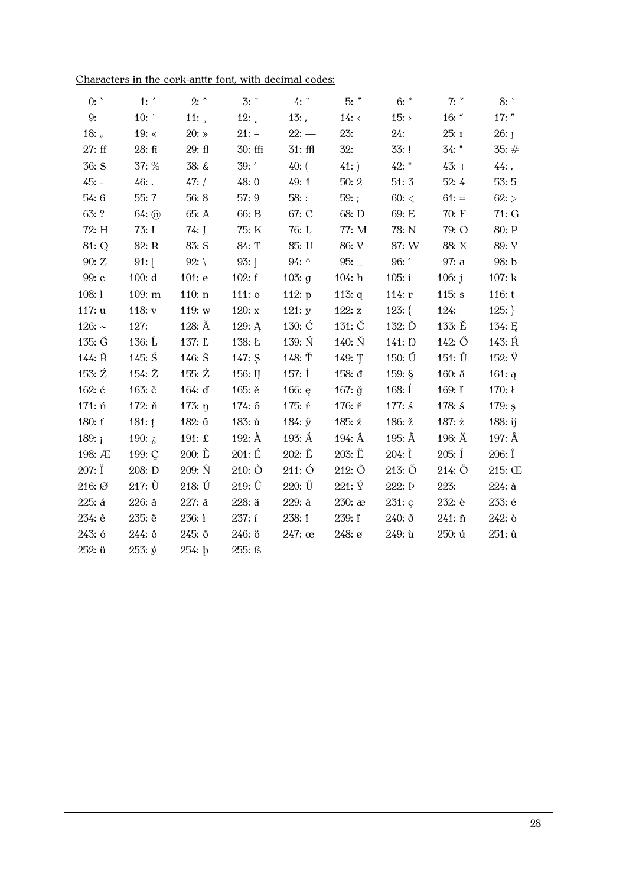|  |  |  | Characters in the cork-anttr font, with decimal codes: |  |
|--|--|--|--------------------------------------------------------|--|
|--|--|--|--------------------------------------------------------|--|

| 0:             | 1:                        | $2:$ ^             | $3:$ $\tilde{}$   | 4:               | $5:$ "           | $6:$ $\degree$     | 7:                 | 8:               |
|----------------|---------------------------|--------------------|-------------------|------------------|------------------|--------------------|--------------------|------------------|
| 9:             | 10:                       | 11:                | 12:               | $13:$ ,          | 14: $\leftarrow$ | 15:                | $16:$ "            | $17:$ "          |
| 18: $n \nvert$ | 19: $\ll$                 | 20: $\ast$         | $21: -$           | $22: -$          | 23:              | 24:                | 25:1               | $26:$ J          |
| 27:ff          | 28: fi                    | 29: f1             | 30: ffi           | $31:$ ffl        | 32:              | 33:1               | $34:$ "            | 35:#             |
| 36: \$         | 37: %                     | 38: &              | $39:$ '           | $40:$ (          | 41:              | $42: *$            | $43: +$            | $44:$ ,          |
| $45: -$        | $46:$ .                   | 47: /              | 48:0              | 49:1             | 50:2             | 51:3               | 52:4               | 53:5             |
| 54:6           | 55:7                      | 56:8               | 57: 9             | $58:$ :          | 59:;             | $60:$ <            | $61: =$            | 62:              |
| 63: ?          | $64:$ $\odot$             | 65: A              | 66: B             | 67: C            | 68: D            | 69: E              | 70: F              | 71:G             |
| 72: H          | 73: I                     | $74:$ J            | 75: K             | 76: L            | 77: M            | 78: N              | 79: O              | 80: P            |
| 81: Q          | 82: R                     | 83: S              | 84: T             | 85: U            | 86: V            | 87: W              | 88: X              | 89: Y            |
| 90: Z          | 91:                       | 92: $\setminus$    | $93:$ ]           | 94: $\wedge$     | 95:              | 96:                | 97: a              | 98: b            |
| 99: c          | 100: d                    | 101: e             | 102: f            | 103: g           | 104: h           | 105: i             | 106: $j$           | 107: k           |
| 108:1          | 109: m                    | 110: n             | $111:$ $\circ$    | 112: $p$         | 113: $q$         | 114: r             | 115: s             | 116: t           |
| 117: u         | 118: $v$                  | 119: $w$           | 120: $x$          | 121: y           | 122: $z$         | $123:$ {           | 124:               | $125:$ }         |
| 126: $\sim$    | 127:                      | 128: Å             | 129: $A$          | 130: $\acute{C}$ | 131: $\check{C}$ | 132: Ď             | 133: Ě             | 134: $E$         |
| 135: G         | 136: $\acute{L}$          | 137: L             | 138: Ł            | 139: N           | $140: \check{N}$ | 141: D             | 142: Ő             | 143: Ŕ           |
| 144: Ř         | $145:$ Ś                  | $146: \check{S}$   | $147:$ \$         | 148: Ť           | 149: T           | 150: $\tilde{U}$   | 151: Ů             | 152: $\ddot{Y}$  |
| 153: $\zeta$   | 154: $\check{\mathbb{Z}}$ | 155: $\dot{Z}$     | 156: IJ           | 157: İ           | 158: đ           | 159: $\frac{6}{9}$ | $160:$ $\check{a}$ | 161: q           |
| 162: ć         | 163: č                    | 164: d             | 165: ě            | 166: $e$         | 167: $\check{g}$ | 168: $1$           | 169: ľ             | 170:1            |
| 171: ń         | 172: ň                    | 173: $p$           | 174: ő            | 175: ŕ           | 176: ř           | $177:$ ś           | 178: š             | 179: $s$         |
| 180: ť         | $181:$ !                  | 182: ű             | 183: ů            | $184: \ddot{y}$  | 185: $\acute{z}$ | 186: ž             | 187: $\dot{z}$     | 188: ij          |
| 189: $i$       | 190: $\lambda$            | 191: $\pounds$     | 192: $\AA$        | 193: Á           | 194: $\hat{A}$   | 195: $\tilde{A}$   | 196: $\ddot{A}$    | 197: Å           |
| 198: Æ         | 199: C                    | 200: E             | 201: E            | $202: \hat{E}$   | 203: Ë           | $204:$ I           | $205:$ Í           | $206:$ $\hat{I}$ |
| 207: Ï         | 208: Đ                    | $209: \tilde{N}$   | $210:$ $\bullet$  | 211:O            | 212: Ô           | $213: \tilde{O}$   | 214:Ö              | 215: Œ           |
| 216: Ø         | 217: Ù                    | $218: \check{U}$   | 219:0             | $220: \ddot{U}$  | $221: \check{Y}$ | 222: <b>b</b>      | 223:               | $224:$ à         |
| 225: á         | $226:$ $\hat{a}$          | $227:$ $\tilde{a}$ | $228:$ $\ddot{a}$ | $229:$ å         | $230:$ $x$       | 231: c             | 232: è             | 233: é           |
| 234: ê         | 235: ë                    | 236: i             | 237: í            | 238: î           | 239: ï           | $240:$ ð           | 241: ñ             | $242:$ ò         |
| 243: ó         | 244: 0                    | 245: õ             | 246: 0            | $247:$ $\infty$  | $248: \emptyset$ | $249:$ ù           | 250: ú             | 251: û           |
| 252: ü         | 253: ý                    | 254: b             | 255: ß            |                  |                  |                    |                    |                  |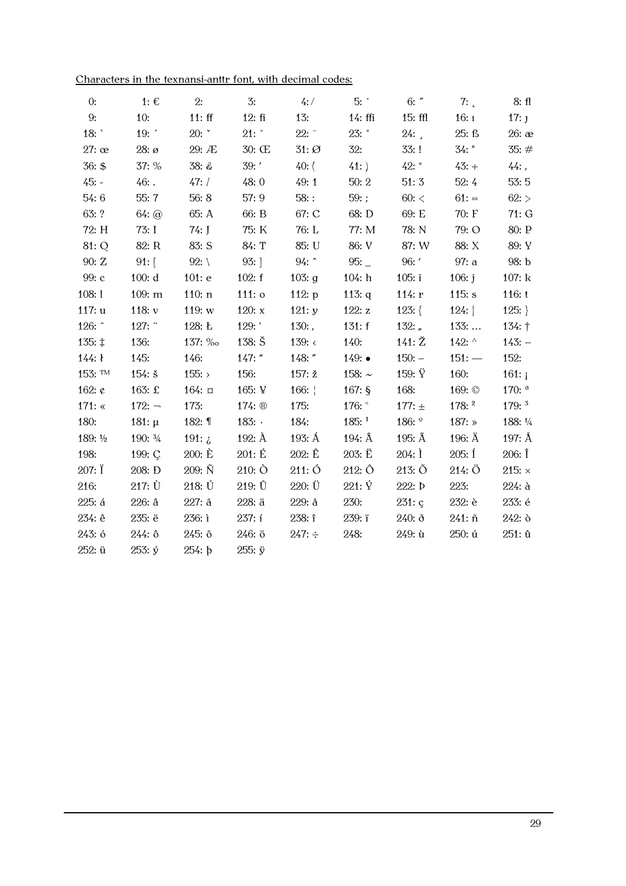|  |  |  | Characters in the texnansi-anttr font, with decimal codes: |  |
|--|--|--|------------------------------------------------------------|--|
|--|--|--|------------------------------------------------------------|--|

| 0:                  | 1: $\epsilon$      | 2:                 | 3:               | 4:                 | 5:                 | $6:$ "            | 7:                 | 8: fl               |
|---------------------|--------------------|--------------------|------------------|--------------------|--------------------|-------------------|--------------------|---------------------|
| 9:                  | 10:                | 11:ff              | 12:fi            | 13:                | $14:$ ffi          | $15:$ ffl         | 16:1               | 17:J                |
| 18: $\degree$       | 19:                | 20:                | 21:              | $22:^-$            | $23:$ $\degree$    | 24:               | 25: ß              | $26:$ $\infty$      |
| $27:$ $\infty$      | $28: \mathcal{O}$  | 29:AE              | $30: \times$     | $31: \emptyset$    | 32:                | 33:!              | $34:$ "            | 35:#                |
| 36: \$              | 37: %              | 38: &              | 39: '            | $40:$ (            | 41:                | $42: *$           | $43: +$            | $44:$ ,             |
| $45: -$             | $46:$ .            | 47: /              | 48:0             | 49:1               | 50:2               | 51:3              | 52:4               | 53:5                |
| 54:6                | 55:7               | 56:8               | 57: 9            | $58:$ :            | 59:;               | 60<               | $61: =$            | 62:                 |
| 63: ?               | $64:$ $\odot$      | 65: A              | 66: B            | 67: C              | 68: D              | 69: E             | 70: F              | 71: G               |
| 72: H               | 73: I              | $74:$ J            | 75: K            | 76: L              | 77: M              | 78: N             | 79: O              | 80: P               |
| 81: Q               | 82: R              | 83: S              | 84: T            | 85: U              | 86: V              | 87: W             | 88: X              | 89: Y               |
| 90: Z               | $91:$ [            | 92: $\setminus$    | $93:$ ]          | $94:$ ^            | 95:                | 96:               | 97: a              | 98: b               |
| 99: c               | 100: d             | 101: e             | 102: f           | 103: $g$           | 104: h             | 105: i            | 106: $j$           | 107: k              |
| 108:1               | 109: m             | 110: n             | $111:$ $\circ$   | 112: $p$           | 113: $q$           | 114: $r$          | 115: $s$           | 116: t              |
| 117:u               | 118: $v$           | 119: $w$           | 120: $x$         | 121: y             | 122: $z$           | $123:$ {          | 124:               | $125:$ }            |
| 126: ~              | 127:               | 128: Ł             | 129: '           | $130:$ ,           | 131: f             | 132: $\sqrt{ }$   | 133:               | 134: $\dagger$      |
| $135: \pm$          | 136:               | 137: ‰             | $138: \check{S}$ | 139: $\leftarrow$  | 140:               | 141:Z             | 142: $\wedge$      | $143: -$            |
| 144:1               | 145:               | 146:               | $147:$ "         | $148:$ "           | $149:$ $\bullet$   | $150: -$          | $151: -$           | 152:                |
| 153: TM             | $154:$ š           | 155: $>$           | 156:             | 157: $\check{z}$   | 158: $\sim$        | 159: $\ddot{Y}$   | 160:               | 161: $i$            |
| 162: $\mathfrak{c}$ | 163: $\pounds$     | $164: \alpha$      | 165: ¥           | 166: $\frac{1}{2}$ | 167: $\frac{6}{9}$ | 168:              | 169: ©             | 170: $^{\circ}$     |
| 171: $\ll$          | $172: -$           | 173:               | 174: $\circledR$ | 175:               | 176: $^{\circ}$    | 177: $\pm$        | 178: <sup>2</sup>  | $179:$ <sup>3</sup> |
| 180:                | 181: $\mu$         | 182: $\P$          | 183: $\cdot$     | 184:               | $185:^1$           | $186:$ $^{\circ}$ | 187: $\ast$        | 188: 1/4            |
| 189: 1/2            | 190: $\frac{3}{4}$ | 191: $\lambda$     | 192: $\AA$       | 193: Á             | 194: $\hat{A}$     | 195: $\tilde{A}$  | 196: $\ddot{A}$    | 197: $\AA$          |
| 198:                | 199: C             | 200: E             | 201: E           | $202: \hat{E}$     | $203: \ddot{E}$    | $204:$ I          | $205:$ $\acute{1}$ | $206:$ $\hat{I}$    |
| 207: I              | 208: Đ             | $209: \tilde{N}$   | $210:$ $\bullet$ | 211:O              | $212: \hat{O}$     | $213: \tilde{O}$  | 214:O              | 215: $\times$       |
| 216:                | $217: \dot{U}$     | $218: \check{U}$   | $219: \hat{U}$   | $220: \ddot{U}$    | 221: Ý             | 222: <b>b</b>     | 223:               | $224:$ à            |
| 225: á              | $226:$ $\hat{a}$   | $227:$ $\tilde{a}$ | 228: ä           | $229:$ å           | 230:               | 231: c            | 232: è             | 233: é              |
| 234: ê              | 235: ë             | 236: i             | 237: í           | 238: î             | 239: ï             | $240:$ ð          | 241: ñ             | $242:$ ò            |
| 243: ó              | $244:$ ô           | 245: õ             | 246: ö           | $247: \div$        | 248:               | 249: ù            | 250: ú             | $251: \hat{u}$      |
| 252: ü              | $253: \circ$       | 254: b             | $255: \ddot{y}$  |                    |                    |                   |                    |                     |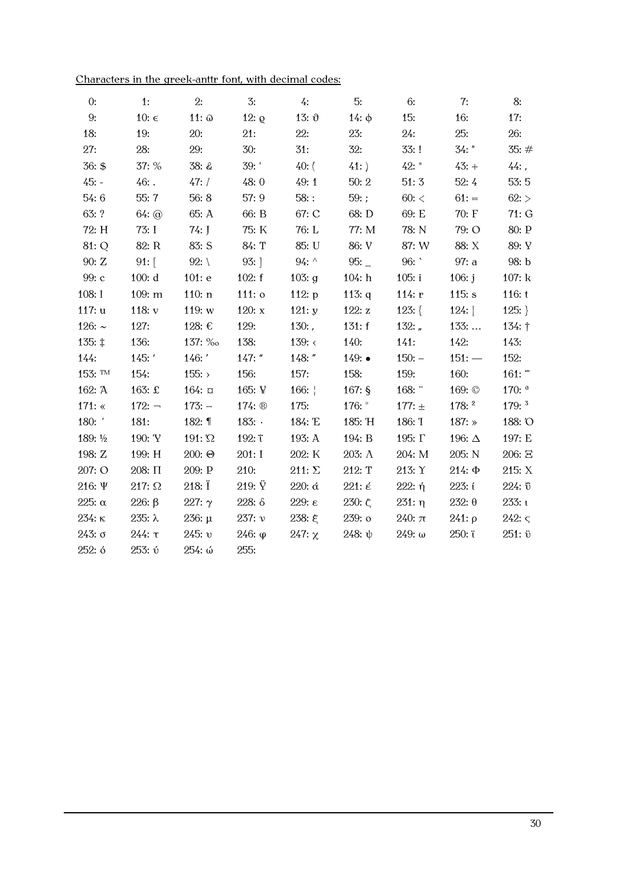| Characters in the greek-anttr font, with decimal codes: |  |  |  |  |
|---------------------------------------------------------|--|--|--|--|
|                                                         |  |  |  |  |

| 0:            | 1:             | 2:              | 3:               | 4:                 | 5:                      | 6:             | 7:            | 8:                     |
|---------------|----------------|-----------------|------------------|--------------------|-------------------------|----------------|---------------|------------------------|
| 9:            | 10: $\epsilon$ | $11: \omega$    | 12: $\varrho$    | 13: $\vartheta$    | $14:$ φ                 | 15:            | 16:           | 17:                    |
| 18:           | 19:            | 20:             | 21:              | 22:                | 23:                     | 24:            | 25:           | 26:                    |
| 27:           | 28:            | 29:             | 30:              | 31:                | 32:                     | 33:!           | $34:$ "       | 35:#                   |
| 36: \$        | 37: %          | 38: &           | 39:              | 40: (              | 41:                     | $42: *$        | $43: +$       | $44:$ ,                |
| $45: -$       | $46:$ .        | 47: /           | 48:0             | 49:1               | 50:2                    | 51:3           | 52:4          | 53:5                   |
| 54:6          | 55: 7          | 56:8            | 57:9             | $58:$ :            | 59:;                    | 60<            | $61: =$       | 62:                    |
| 63: ?         | $64:$ $\omega$ | 65: A           | 66: B            | 67: C              | 68: D                   | 69: E          | 70: F         | 71:G                   |
| 72: H         | 73: I          | 74: J           | 75: K            | 76: L              | 77: M                   | 78: N          | 79: O         | 80: P                  |
| 81: Q         | 82: R          | 83: S           | 84: T            | 85: U              | 86: V                   | 87: W          | 88: X         | 89: Y                  |
| 90: Z         | $91:$ [        | $92: \setminus$ | $93:$ ]          | 94: $\wedge$       | 95:                     | 96:            | 97: a         | 98: b                  |
| 99: c         | 100: d         | 101: e          | 102: f           | 103: $g$           | 104: h                  | 105: i         | 106: j        | 107: k                 |
| 108:1         | 109: m         | 110: n          | $111:$ $\circ$   | 112: $p$           | 113: $q$                | 114: $r$       | 115: $s$      | 116: $t$               |
| 117:u         | 118: $v$       | 119: $w$        | 120: $x$         | 121: y             | 122: $z$                | $123:$ {       | 124:          | $125:$ }               |
| 126: $\sim$   | 127:           | 128: €          | 129:             | $130:$ ,           | 131: f                  | 132: $\mu$     | 133:          | 134: $\dagger$         |
| 135: ‡        | 136:           | 137: ‰          | 138:             | 139: $\langle$     | 140:                    | 141:           | 142:          | 143:                   |
| 144:          | 145: '         | 146: '          | $147:$ "         | $148:$ "           | $149:$ $\bullet$        | $150: -$       | $151: -$      | 152:                   |
| 153: TM       | 154:           | 155:            | 156:             | 157:               | 158:                    | 159:           | 160:          | $161:$ "               |
| 162: A        | 163: £         | $164: \alpha$   | 165: ¥           | 166: $\frac{1}{1}$ | 167: $\frac{6}{9}$      | 168: $\degree$ | 169: ©        | $170:$ $^a$            |
| 171: $\ll$    | $172: -$       | $173: -$        | 174: $\circledR$ | 175:               | 176: $^{\circ}$         | 177: $\pm$     | $178:^2$      | $179:$ <sup>3</sup>    |
| 180: '        | 181:           | 182: $\P$       | 183: $\cdot$     | 184: 'E            | 185: 'H                 | 186: T         | 187: $\ast$   | 188: O                 |
| 189: 1/2      | 190: 'Y        | 191: $\Omega$   | 192: ï           | 193: A             | 194: B                  | 195: Г         | 196: $\Delta$ | 197: E                 |
| 198: Z        | 199: H         | $200: \Theta$   | 201: I           | $202:K$            | $203: \Lambda$          | 204: M         | 205: N        | 206: E                 |
| 207: O        | 208: $\Pi$     | 209: P          | 210:             | 211: $\Sigma$      | 212: T                  | 213:Y          | $214:$ $\Phi$ | 215: X                 |
| 216: $\Psi$   | 217: $\Omega$  | 218: Ï          | $219: \ddot{Y}$  | 220: $\alpha$      | $221: \acute{\epsilon}$ | $222:$ ή       | 223: i        | 224: 0                 |
| 225: $\alpha$ | 226: $\beta$   | 227: $\gamma$   | $228: \delta$    | 229: $ε$           | 230: $\zeta$            | 231:η          | $232: \theta$ | 233:1                  |
| 234:κ         | $235: \lambda$ | $236: \mu$      | 237: v           | 238: ξ             | 239: o                  | 240:π          | $241: \rho$   | $242: \varsigma$       |
| $243: \sigma$ | 244:τ          | 245: v          | $246:$ φ         | $247: \chi$        | 248: ψ                  | $249: \omega$  | 250: i        | $251: \ddot{\upsilon}$ |
| 252:6         | 253: v         | 254: ώ          | 255:             |                    |                         |                |               |                        |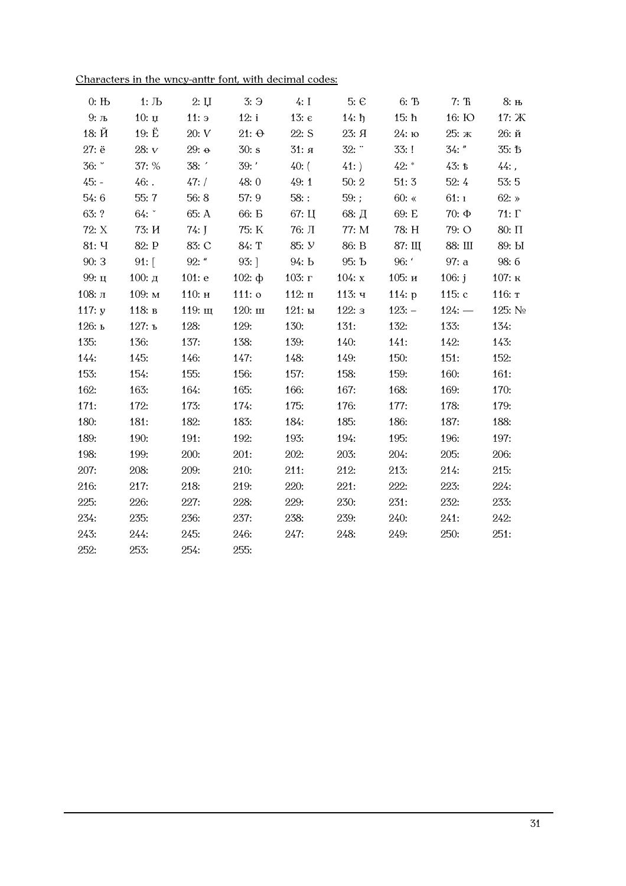| Characters in the wncy-anttr font, with decimal codes: |  |  |  |  |
|--------------------------------------------------------|--|--|--|--|
|                                                        |  |  |  |  |

| $0:$ H <sub>b</sub> | $1:$ $\sqrt{1}$ | 2:U          | 3:9          | 4:1            | $5: \mathcal{C}$ | 6: To     | $7:$ Th      | 8: њ         |
|---------------------|-----------------|--------------|--------------|----------------|------------------|-----------|--------------|--------------|
| $9: \pi$            | $10: \mu$       | 11:5         | 12: i        | 13: $\epsilon$ | $14: \hbar$      | 15: h     | 16: Ю        | 17: Ж        |
| 18: Й               | 19: $\ddot{E}$  | 20: V        | $21: \Theta$ | $22:$ S        | 23: Я            | $24:$ ю   | 25: ж        | 26:й         |
| 27: ë               | 28: ${\bf v}$   | $29: \theta$ | 30: s        | 31: я          | 32:              | 33:1      | $34:$ "      | 35: <b>b</b> |
| 36: °               | 37: %           | 38:          | $39:$ '      | $40:$ (        | 41:              | $42:$ *   | 43:5         | $44:$ ,      |
| $45: -$             | $46:$ .         | 47: /        | 48:0         | 49:1           | 50:2             | 51:3      | 52:4         | 53:5         |
| 54:6                | 55:7            | 56:8         | 57:9         | $58:$ :        | 59:;             | 60: $\ll$ | 61:1         | 62: $\ast$   |
| 63: ?               | 64:             | 65: A        | 66: <b>B</b> | 67: Ц          | 68: Д            | 69: E     | $70:$ $\Phi$ | 71: $\Gamma$ |
| 72: X               | 73: <i>H</i>    | $74:$ J      | 75: K        | 76: Л          | 77: M            | 78: H     | 79: O        | $80: \Pi$    |
| 81: Y               | 82: P           | 83: C        | 84: T        | 85: <i>y</i>   | 86: B            | 87: Щ     | 88: III      | 89: bI       |
| 90:3                | $91:$ [         | $92:$ "      | $93:$ ]      | 94: b          | 95: Ъ            | 96:       | 97: a        | 98:6         |
| 99: ц               | 100: д          | 101: e       | 102: $\Phi$  | 103: г         | 104: $x$         | 105: и    | 106: $j$     | 107: к       |
| 108: л              | 109: м          | 110: н       | $111:$ o     | $112: \pi$     | 113: ч           | 114: $p$  | 115 $: c$    | 116: т       |
| 117: $y$            | 118: в          | 119: щ       | $120:$ III   | 121: ы         | 122:3            | $123: -$  | $124: -$     | 125: $N2$    |
| 126: ь              | 127: ъ          | 128:         | 129:         | 130:           | 131:             | 132:      | 133:         | 134:         |
| 135:                | 136:            | 137:         | 138:         | 139:           | 140:             | 141:      | 142:         | 143:         |
| 144:                | 145:            | 146:         | 147:         | 148:           | 149:             | 150:      | 151:         | 152:         |
| 153:                | 154:            | 155:         | 156:         | 157:           | 158:             | 159:      | 160:         | 161:         |
| 162:                | 163:            | 164:         | 165:         | 166:           | 167:             | 168:      | 169:         | 170:         |
| 171:                | 172:            | 173:         | 174:         | 175:           | 176:             | 177:      | 178:         | 179:         |
| 180:                | 181:            | 182:         | 183:         | 184:           | 185:             | 186:      | 187:         | 188:         |
| 189:                | 190:            | 191:         | 192:         | 193:           | 194:             | 195:      | 196:         | 197:         |
| 198:                | 199:            | 200:         | 201:         | 202:           | 203:             | 204:      | 205:         | 206:         |
| 207:                | 208:            | 209:         | 210:         | 211:           | 212:             | 213:      | 214:         | 215:         |
| 216:                | 217:            | 218:         | 219:         | 220:           | 221:             | 222:      | 223:         | 224:         |
| 225:                | 226:            | 227:         | 228:         | 229:           | 230:             | 231:      | 232:         | 233:         |
| 234:                | 235:            | 236:         | 237:         | 238:           | 239:             | 240:      | 241:         | 242:         |
| 243:                | 244:            | 245:         | 246:         | 247:           | 248:             | 249:      | 250:         | 251:         |
| 252:                | 253:            | 254:         | 255:         |                |                  |           |              |              |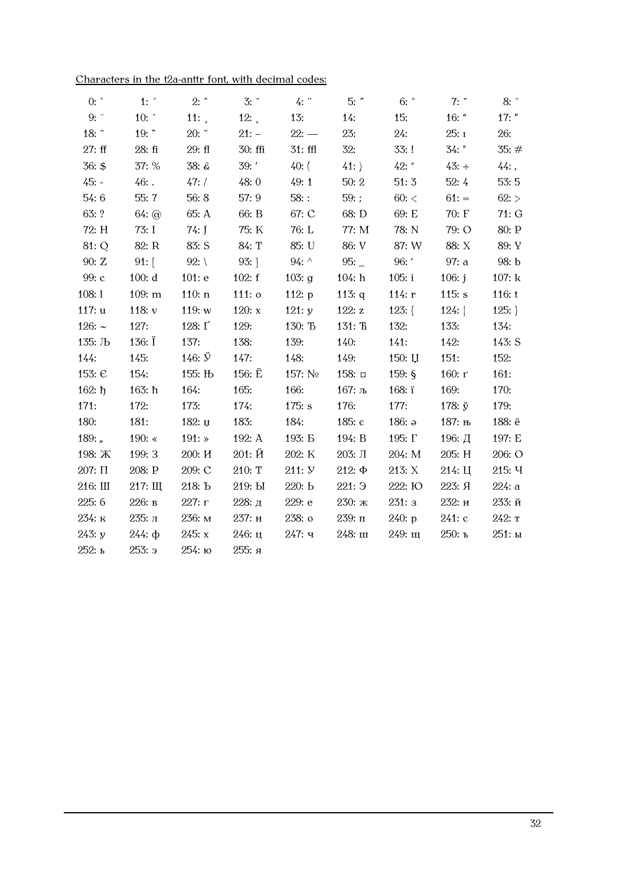| Characters in the t2a-anttr font, with decimal codes: |
|-------------------------------------------------------|
|-------------------------------------------------------|

| 0:           | 1:              | $2:$ ^           | $3:$ $\tilde{}$  | $4:$ "         | $5:$ "          | $6:$ $\degree$     | 7:                  | 8:         |
|--------------|-----------------|------------------|------------------|----------------|-----------------|--------------------|---------------------|------------|
| 9:           | 10:             | 11: $\lambda$    | 12:              | 13:            | 14:             | 15:                | $16:$ "             | $17:$ "    |
| 18:          | 19:             | 20:              | $21: -$          | $22: -$        | 23:             | 24:                | 25:1                | <b>26:</b> |
| 27: ff       | 28: fi          | 29: fl           | 30: ffi          | $31:$ ffl      | 32:             | 33: !              | $34:$ "             | 35:#       |
| 36: \$       | 37: %           | 38: &            | 39:              | $40:$ (        | 41:             | $42: *$            | $43: +$             | $44:$ ,    |
| $45: -$      | $46:$ .         | 47: /            | 48:0             | 49:1           | 50:2            | 51:3               | 52:4                | 53:5       |
| 54:6         | 55:7            | 56:8             | 57: 9            | $58:$ :        | 59:;            | $60:$ <            | $61: =$             | 62:        |
| 63: ?        | $64:$ @         | 65: A            | 66: B            | 67: C          | 68: D           | 69: E              | 70: F               | 71: G      |
| 72: H        | 73: I           | $74:$ J          | 75: K            | 76: L          | 77: M           | 78: N              | 79: O               | 80: P      |
| 81: Q        | 82: R           | 83: S            | 84: T            | 85: U          | 86: V           | 87: W              | 88: X               | 89: Y      |
| 90: Z        | $91:$ [         | 92: $\setminus$  | $93:$ ]          | $94:^{\wedge}$ | $95:$ $-$       | 96: '              | 97: a               | 98: b      |
| 99: c        | 100: d          | 101: e           | 102: f           | 103: g         | 104: h          | 105: i             | 106: $j$            | 107: k     |
| 108:1        | 109: m          | 110: n           | $111:$ $\circ$   | 112: $p$       | 113: $q$        | 114: $r$           | 115: s              | 116: t     |
| 117: u       | 118: $v$        | 119: w           | 120: $x$         | 121: y         | 122: z          | 123: $\{$          | 124:                | 125:       |
| 126: $\sim$  | 127:            | 128: $\Gamma$    | 129:             | 130: To        | $131:$ Th       | 132:               | 133:                | 134:       |
| 135: Љ       | 136: $\ddot{I}$ | 137:             | 138:             | 139:           | 140:            | 141:               | 142:                | 143: S     |
| 144:         | 145:            | 146: $\check{y}$ | 147:             | 148:           | 149:            | 150:U              | 151:                | 152:       |
| 153: €       | 154:            | 155: Њ           | 156: $\ddot{E}$  | 157: $N_2$     | $158: \alpha$   | 159: $\frac{6}{9}$ | 160: г              | 161:       |
| $162: \hbar$ | $163:$ $\hbar$  | 164:             | 165:             | 166:           | 167: љ          | 168: $\ddot{i}$    | 169:                | 170:       |
| 171:         | 172:            | 173:             | 174:             | 175: s         | 176:            | 177:               | 178: $\check{y}$    | 179:       |
| 180:         | 181:            | 182: $\mu$       | 183:             | 184:           | 185: $\epsilon$ | 186: $a$           | 187: њ              | 188: ë     |
| 189: $\mu$   | 190: $\ll$      | $191:$ $\ast$    | 192: A           | 193: E         | 194: B          | 195: Г             | 196: Д              | 197: E     |
| 198: Ж       | 199: 3          | 200: H           | $201: \check{H}$ | 202: K         | $203:$ Л        | 204: M             | 205: H              | 206: O     |
| 207: $\Pi$   | 208: P          | 209: C           | 210: T           | 211: <i>Y</i>  | $212: \Phi$     | 213: X             | $214:$ $\mathrm{H}$ | 215: Ч     |
| 216: Ш       | 217:III         | 218: Ъ           | 219: Ы           | 220: b         | 221:9           | 222: IO            | 223: Я              | 224: a     |
| 225: 6       | 226: в          | 227: г           | 228: д           | 229: e         | 230: ж          | 231: a             | 232: и              | 233:й      |
| 234: к       | 235: л          | 236: м           | 237: н           | 238: o         | $239:$ п        | 240: p             | $241:$ c            | 242: т     |
| 243: y       | $244:$ $\Phi$   | 245: x           | 246: u           | $247:$ ч       | $248:$ III      | $249:$ щ           | 250: ъ              | 251: ы     |
| 252: ь       | $253:$ э        | 254: ю           | 255: я           |                |                 |                    |                     |            |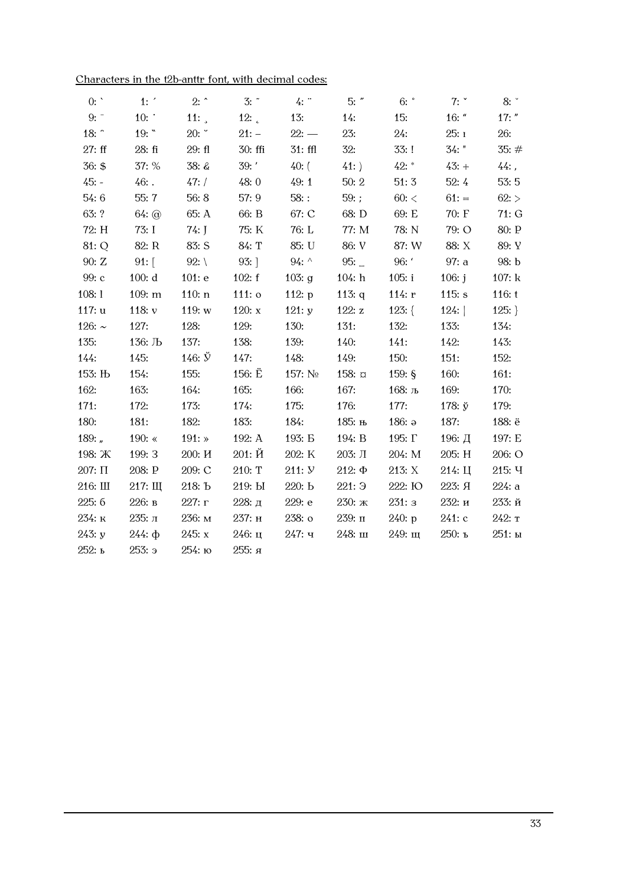| 0:            | 1:            | $2:$ ^           | $3:$ $\tilde{}$ | 4:            | $5:$ "        | $6:$ $\degree$     | 7: $\degree$        | 8:         |
|---------------|---------------|------------------|-----------------|---------------|---------------|--------------------|---------------------|------------|
| 9:            | 10:           | 11:              | 12:             | 13:           | 14:           | 15:                | $16:$ "             | $17:$ "    |
| 18: $\hat{ }$ | 19: "         | 20:              | $21: -$         | $22: -$       | 23:           | 24:                | 25:1                | <b>26:</b> |
| 27: ff        | 28: fi        | 29: f1           | 30: ffi         | $31:$ ffl     | 32:           | 33:!               | $34:$ "             | 35:#       |
| 36: \$        | 37: %         | $38: \&$         | 39:             | 40: (         | 41:           | $42:$ *            | $43: +$             | $44:$ ,    |
| $45: -$       | $46:$ .       | 47: /            | 48:0            | 49:1          | 50:2          | 51:3               | 52:4                | 53:5       |
| 54:6          | 55:7          | 56:8             | 57:9            | $58:$ :       | 59:;          | $60:$ <            | $61: =$             | 62:        |
| 63: ?         | $64:$ @       | 65: A            | 66: B           | 67: C         | 68: D         | 69: E              | 70: F               | 71:G       |
| 72: H         | 73: I         | $74:$ J          | 75: K           | 76: L         | 77: M         | 78: N              | 79: O               | 80: P      |
| 81: Q         | 82: R         | 83: S            | 84: T           | 85: U         | 86: V         | 87: W              | 88: X               | 89: Y      |
| 90: Z         | 91: $\lceil$  | 92: $\setminus$  | $93:$ ]         | 94: $\wedge$  | 95:           | 96: '              | 97: a               | 98: b      |
| 99: c         | 100: d        | 101: e           | 102: f          | 103: $g$      | 104: h        | 105: i             | 106: $j$            | 107: k     |
| 108:1         | 109: m        | 110: n           | $111:$ o        | 112: $p$      | 113: $q$      | 114: $r$           | 115: $s$            | 116: t     |
| 117: u        | 118: $v$      | 119: w           | 120: $x$        | 121: y        | 122: z        | 123: $\{$          | 124:                | $125:$ }   |
| 126: $\sim$   | 127:          | 128:             | 129:            | 130:          | 131:          | 132:               | 133:                | 134:       |
| 135:          | 136: Љ        | 137:             | 138:            | 139:          | 140:          | 141:               | 142:                | 143:       |
| 144:          | 145:          | 146: $\check{y}$ | 147:            | 148:          | 149:          | 150:               | 151:                | 152:       |
| 153: Њ        | 154:          | 155:             | 156: $\ddot{E}$ | 157: $N2$     | $158: \alpha$ | 159: $\frac{6}{9}$ | 160:                | 161:       |
| 162:          | 163:          | 164:             | 165:            | 166:          | 167:          | 168: љ             | 169:                | 170:       |
| 171:          | 172:          | 173:             | 174:            | 175:          | 176:          | 177:               | 178: $\check{y}$    | 179:       |
| 180:          | 181:          | 182:             | 183:            | 184:          | 185: њ        | 186: a             | 187:                | 188: ë     |
| 189: $\mu$    | 190: $\ll$    | $191:$ $\ast$    | 192: A          | 193: <b>B</b> | 194: B        | 195: $\Gamma$      | 196: Д              | 197: E     |
| 198: Ж        | 199: 3        | 200: H           | 201: Й          | 202: K        | 203: Л        | 204: M             | 205: H              | 206: O     |
| 207: $\Pi$    | 208: P        | 209: C           | 210: T          | 211: y        | $212: \Phi$   | 213: X             | $214:$ $\mathrm{H}$ | 215: Y     |
| 216: Ш        | 217: Щ        | 218: Ъ           | 219: Ы          | 220: b        | 221:9         | 222: Ю             | 223: Я              | 224: a     |
| 225: 6        | 226: в        | 227: г           | 228: д          | 229: e        | 230: ж        | 231:3              | 232: и              | 233:й      |
| 234: к        | 235: л        | 236: м           | 237: н          | 238: o        | $239: \pi$    | 240: p             | $241:$ c            | 242: т     |
| 243: y        | $244:$ $\Phi$ | 245: x           | 246: ц          | $247:$ ч      | 248: ш        | 249:III            | 250: ъ              | 251: ы     |
| 252: ь        | $253:$ э      | 254: ю           | 255: я          |               |               |                    |                     |            |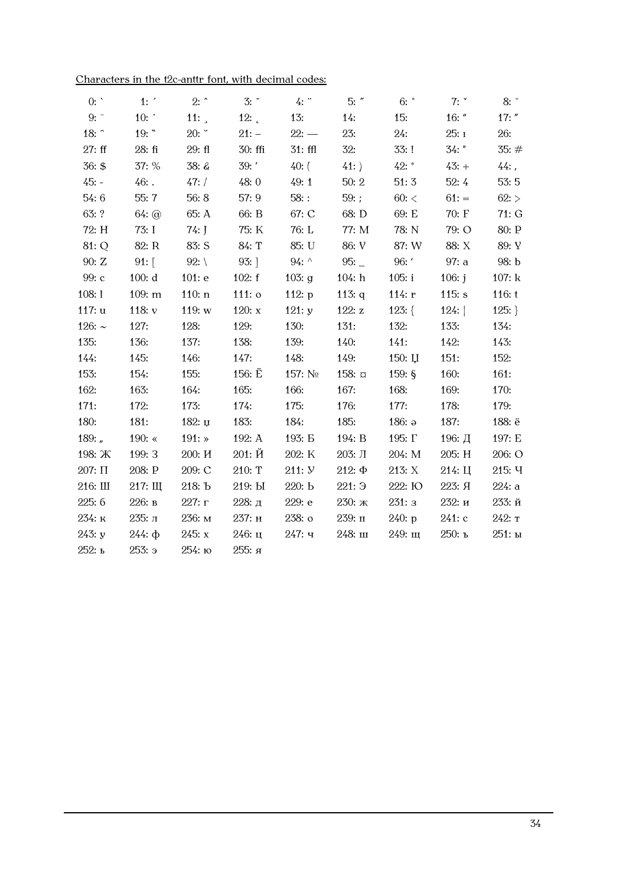| 0:          | 1:            | $2:$ ^          | $3:$ $\tilde{}$ | $4:$ "        | $5:$ "        | $6:$ $\degree$     | 7: $\degree$ | 8:       |
|-------------|---------------|-----------------|-----------------|---------------|---------------|--------------------|--------------|----------|
| 9:          | 10:           | 11: $\lambda$   | 12:             | 13:           | 14:           | 15:                | $16:$ "      | $17:$ "  |
| 18:         | 19:           | 20:             | $21: -$         | $22:$ —       | 23:           | 24:                | 25:1         | 26:      |
| 27: ff      | 28: fi        | 29: f1          | $30:$ ffi       | $31:$ ffl     | 32:           | 33:!               | 34: "        | 35:#     |
| 36: \$      | 37: %         | 38: &           | 39:             | $40:$ (       | 41:           | $42: *$            | $43: +$      | $44:$ ,  |
| $45: -$     | $46:$ .       | 47: /           | 48:0            | 49:1          | 50:2          | 51:3               | 52:4         | 53:5     |
| 54:6        | 55:7          | 56:8            | 57:9            | $58:$ :       | 59:;          | $60:$ <            | $61: =$      | 62:      |
| 63: ?       | $64:$ @       | 65: A           | 66: B           | 67: C         | 68: D         | 69: E              | 70: F        | 71:G     |
| 72: H       | 73: I         | $74:$ J         | 75: K           | 76: L         | 77: M         | 78: N              | 79: O        | 80: P    |
| 81: Q       | 82: R         | 83: S           | 84: T           | 85: U         | 86: V         | 87: W              | 88: X        | 89: Y    |
| 90: Z       | $91:$ [       | 92: $\setminus$ | $93:$ ]         | 94: $\wedge$  | 95:           | 96:                | 97: a        | 98: b    |
| 99: c       | 100: d        | 101: e          | 102: f          | 103: g        | 104: h        | 105: i             | 106: $j$     | 107: k   |
| 108:1       | 109: m        | 110: n          | $111:$ $\circ$  | 112: $p$      | 113: $q$      | 114: $r$           | 115: $s$     | 116: t   |
| 117: u      | 118: $v$      | 119: $w$        | 120: $x$        | 121: $y$      | 122: z        | $123:$ {           | 124:         | 125:     |
| 126: $\sim$ | 127:          | 128:            | 129:            | 130:          | 131:          | 132:               | 133:         | 134:     |
| 135:        | 136:          | 137:            | 138:            | 139:          | 140:          | 141:               | 142:         | 143:     |
| 144:        | 145:          | 146:            | 147:            | 148:          | 149:          | $150: \mathbf{U}$  | 151:         | 152:     |
| 153:        | 154:          | 155:            | 156: $\ddot{E}$ | 157: No       | $158: \alpha$ | 159: $\frac{6}{9}$ | 160:         | 161:     |
| 162:        | 163:          | 164:            | 165:            | 166:          | 167:          | 168:               | 169:         | 170:     |
| 171:        | 172:          | 173:            | 174:            | 175:          | 176:          | 177:               | 178:         | 179:     |
| 180:        | 181:          | 182: $\mu$      | 183:            | 184:          | 185:          | 186: $a$           | 187:         | 188: ë   |
| 189: $n$    | 190: $\ll$    | $191:$ »        | 192: A          | 193: <b>B</b> | 194: B        | 195: Г             | 196: Д       | 197: E   |
| 198: Ж      | 199: 3        | 200: H          | 201: Й          | 202: K        | $203:$ Л      | 204: M             | 205: H       | 206: O   |
| $207: \Pi$  | 208: P        | 209: C          | 210: T          | 211: <i>y</i> | $212: \Phi$   | 213: X             | 214: Ц       | 215: Y   |
| 216: Ш      | 217:III       | 218: Ъ          | 219: Ы          | 220: b        | 221:9         | 222: Ю             | 223: Я       | 224: a   |
| 225: 6      | 226: в        | 227: r          | 228: д          | 229: e        | 230: ж        | 231:3              | 232: и       | 233:й    |
| 234: к      | 235: л        | 236: м          | 237: н          | 238: o        | 239: п        | 240: p             | $241:$ c     | $242:$ T |
| 243: y      | $244:$ $\Phi$ | 245: x          | 246: ц          | $247:$ ч      | 248: ш        | 249: щ             | 250: ъ       | 251: ы   |
| 252: ь      | $253:$ э      | 254: ю          | 255: я          |               |               |                    |              |          |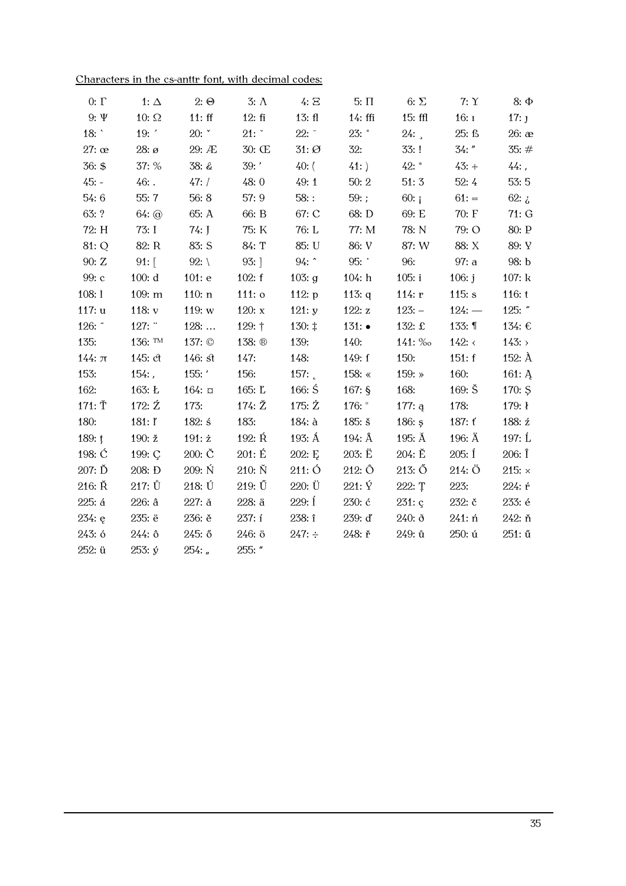|  | Characters in the cs-anttr font, with decimal codes: |  |  |  |  |  |  |  |
|--|------------------------------------------------------|--|--|--|--|--|--|--|
|--|------------------------------------------------------|--|--|--|--|--|--|--|

| $0: \Gamma$      | 1: $\Delta$          | $2: \Theta$         | $3: \Lambda$              | 4: E               | $5: \Pi$         | 6: $\Sigma$      | 7:Y                | $8: \Phi$         |
|------------------|----------------------|---------------------|---------------------------|--------------------|------------------|------------------|--------------------|-------------------|
| 9: $\Psi$        | 10: $\Omega$         | 11:ff               | 12:fi                     | 13: f <sub>l</sub> | $14:$ ffi        | $15:$ ffl        | 16:1               | $17:$ J           |
| 18:              | 19:                  | 20:                 | 21:                       | $22:^-$            | $23:$ $\degree$  | 24:              | 25: ß              | $26:$ $\infty$    |
| $27:$ $\infty$   | $28: \mathcal{O}$    | 29: Æ               | 30: Œ                     | $31: \emptyset$    | 32:              | 33:!             | $34:$ "            | 35:#              |
| 36: \$           | 37: %                | 38: &               | 39: '                     | $40:$ (            | 41:              | $42:$ *          | $43: +$            | $44:$ ,           |
| $45: -$          | $46:$ .              | 47: /               | 48:0                      | 49:1               | 50:2             | 51:3             | 52:4               | 53:5              |
| 54:6             | 55:7                 | 56:8                | 57:9                      | $58:$ :            | 59:;             | 60: j            | $61: =$            | 62: $\zeta$       |
| 63: ?            | $64:$ $\circledcirc$ | 65: A               | 66: B                     | 67: C              | 68: D            | 69: E            | 70: F              | 71: G             |
| 72: H            | 73: I                | $74:$ J             | 75: K                     | 76: L              | 77: M            | 78: N            | 79: O              | $80:$ ${\rm P}$   |
| 81: Q            | 82: R                | 83: S               | 84: T                     | 85: U              | 86: V            | 87: W            | 88: X              | 89: Y             |
| 90: Z            | $91:$ [              | 92: $\setminus$     | $93:$ ]                   | 94:                | 95:              | 96:              | 97: a              | 98: b             |
| 99: с            | 100: d               | 101: e              | 102: f                    | 103: $g$           | 104: h           | 105: i           | 106: $j$           | 107: k            |
| 108:1            | 109: m               | 110: n              | $111:$ $\circ$            | 112: $p$           | 113: $q$         | 114: $r$         | 115: s             | 116: t            |
| 117: u           | 118: $v$             | 119: $w$            | 120: $x$                  | 121: y             | 122: $z$         | $123: -$         | $124:$ —           | 125: $"$          |
| 126: ~           | 127:                 | 128:                | 129: †                    | 130: $\ddagger$    | $131:$ $\bullet$ | 132: £           | 133: ¶             | 134: €            |
| 135:             | 136: TM              | 137: $\circledcirc$ | 138: ®                    | 139:               | 140:             | 141: ‰           | 142: $\leftarrow$  | 143:              |
| $144: \pi$       | 145: ct              | $146:$ st           | 147:                      | 148:               | 149: f           | 150:             | 151: f             | 152: $\AA$        |
| 153:             | $154:$ ,             | 155: '              | 156:                      | 157: $\frac{1}{2}$ | 158: $\ll$       | 159: $\ast$      | 160:               | 161: Ą            |
| 162:             | 163: L               | $164: \alpha$       | 165: L                    | 166: $\acute{S}$   | $167:$ §         | 168:             | $169: \check{S}$   | 170: Ş            |
| $171: \check{T}$ | 172: $Z$             | 173:                | 174: $\check{\mathrm{Z}}$ | 175: $\dot{Z}$     | 176: $\degree$   | 177: $q$         | 178:               | 179: $\mathbf{I}$ |
| 180:             | 181: I'              | 182: $\pm$          | 183:                      | $184:$ à           | $185:$ š         | 186: $\varsigma$ | 187: $t$           | 188: ź            |
| 189: $t$         | 190: ž               | $191: \dot{z}$      | 192: $R$                  | 193: Á             | 194: $\AA$       | 195: Å           | 196: $\ddot{A}$    | 197: $\hat{L}$    |
| 198: $\acute{C}$ | 199: C               | $200: \check{C}$    | 201: E                    | 202: E             | $203: \ddot{E}$  | 204: E           | $205:$ $\acute{1}$ | $206:$ $\hat{I}$  |
| $207: \check{D}$ | 208: Đ               | 209: Ń              | $210: \check{N}$          | 211:O              | $212: \hat{O}$   | $213: \tilde{O}$ | 214:Ö              | 215: $\times$     |
| 216: Ř           | $217: \mathring{U}$  | 218: Ú              | $219: \tilde{U}$          | 220: Ü             | $221: \hat{Y}$   | 222: T           | 223:               | 224: ŕ            |
| 225: 4           | 226: a               | $227:$ $\check{a}$  | 228: ä                    | 229: Í             | 230: ć           | 231: c           | 232: č             | 233: é            |
| 234: e           | 235: ë               | 236: ě              | 237: í                    | 238: î             | 239: ď           | $240:$ ð         | $241:$ ń           | 242: ň            |
| 243: ó           | 244: 0               | 245: ő              | 246: ö                    | $247: \div$        | 248: r           | 249: ů           | 250: ú             | 251: ű            |
| 252: ü           | $253: \circ$         | $254:$ "            | 255: "                    |                    |                  |                  |                    |                   |
|                  |                      |                     |                           |                    |                  |                  |                    |                   |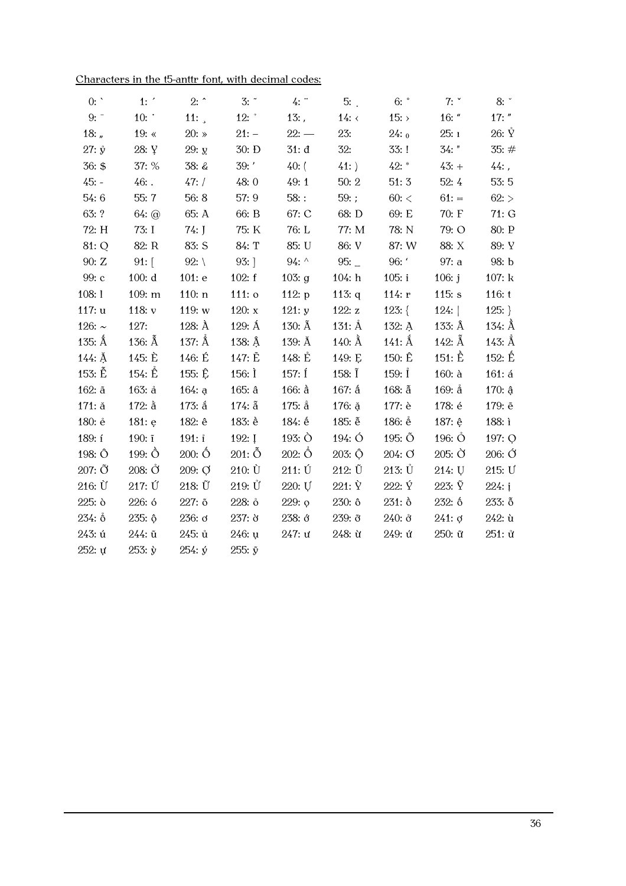| 0:                 | 1:                        | $2:$ ^           | 3:                  | 4:               | 5:               | $6:$ $\degree$      | 7:               | $8:$ $\degree$      |
|--------------------|---------------------------|------------------|---------------------|------------------|------------------|---------------------|------------------|---------------------|
| 9:                 | $10:$ .                   | 11: $\lambda$    | 12: $\degree$       | $13:$ ,          | 14: $\langle$    | 15:                 | $16:$ "          | $17:$ "             |
| 18: $n =$          | 19: $\ll$                 | $20:$ »          | $21: -$             | $22: -$          | 23:              | 24:0                | 25:1             | $26: \mathring{Y}$  |
| $27: \hat{y}$      | 28: Y                     | 29: y            | 30: D               | 31: d            | 32:              | 33:!                | $34:$ "          | 35:#                |
| 36: \$             | 37: %                     | 38: &            | 39:                 | $40:$ (          | 41:              | $42: *$             | $43: +$          | $44:$ ,             |
| 45: -              | $46:$ .                   | 47: /            | 48:0                | 49:1             | 50:2             | 51:3                | 52:4             | 53:5                |
| 54:6               | 55:7                      | 56:8             | 57: 9               | $58:$ :          | 59:;             | $60:$ <             | $61: =$          | 62:                 |
| 63: ?              | $64:$ $\odot$             | 65: A            | 66: B               | 67: C            | 68: D            | 69: E               | 70: F            | 71:G                |
| 72: H              | 73: I                     | $74:$ J          | 75: K               | 76: L            | 77: M            | 78: N               | 79: O            | 80: P               |
| 81: Q              | 82: R                     | 83: S            | 84: T               | 85: U            | 86: V            | 87: W               | 88: X            | 89: Y               |
| 90: Z              | $91:$ [                   | 92: $\setminus$  | $93:$ ]             | 94: $\wedge$     | 95:              | 96: '               | 97: a            | 98: b               |
| 99: c              | 100: d                    | 101: e           | 102: f              | 103: $g$         | 104: h           | 105: i              | 106: $j$         | 107: k              |
| 108:1              | 109: m                    | 110: n           | $111:$ $\circ$      | 112: $p$         | 113: $q$         | 114: $r$            | 115: s           | 116: t              |
| 117: u             | 118: $v$                  | 119: w           | 120: $x$            | 121: y           | 122: $z$         | $123:$ {            | 124:             | $125:$ }            |
| 126: $\sim$        | 127:                      | 128: $\AA$       | $129:$ $\AA$        | 130: $\tilde{A}$ | $131:$ $\AA$     | 132: A              | 133: $\hat{A}$   | 134: $\hat{A}$      |
| 135: $\hat{A}$     | 136: $\hat{A}$            | 137: $\hat{A}$   | 138: $\hat{A}$      | 139: Å           | 140: $\AA$       | $141:$ $\AA$        | 142: $\AA$       | 143: $Å$            |
| $144:$ $\AA$       | 145: È                    | 146: É           | 147: Ě              | 148: $E$         | 149: E           | 150: Ê              | $151: \hat{E}$   | $152:$ $\hat{E}$    |
| $153: \tilde{E}$   | 154: $\hat{E}$            | 155: Ê           | 156: $\dot{I}$      | $157:$ Í         | 158: $\tilde{I}$ | 159: $1$            | $160:$ à         | 161: d              |
| $162:$ $\tilde{a}$ | $163:$ $\AA$              | 164: a           | 165: a              | $166:$ $\delta$  | $167:$ ấ         | $168:$ $\tilde{a}$  | $169:$ $\AA$     | $170:$ $\hat{a}$    |
| 171: ă             | $172:$ $\mathrm{\AA}$     | 173: å           | $174:$ $\tilde{a}$  | $175:$ å         | 176: ă           | 177: è              | 178: é           | 179: ě              |
| 180: ė             | 181: e                    | 182: ê           | 183: è              | 184: é           | 185: $\tilde{e}$ | 186: $\hat{e}$      | 187: ê           | 188: i              |
| 189: í             | $190:$ $\tilde{i}$        | 191: i           | 192: $I$            | 193: $\dot{O}$   | $194:$ Ó         | 195: Õ              | 196: $\bullet$   | 197: Q              |
| 198: Ô             | $199: \hat{O}$            | $200: \hat{O}$   | $201: \tilde{O}$    | $202: \hat{O}$   | $203: \hat{O}$   | 204: O              | $205: \check{O}$ | $206: \text{\r{O}}$ |
| $207: \tilde{O}$   | $208: \check{\mathrm{O}}$ | 209: Q           | $210: \dot{U}$      | 211: Ú           | $212: \tilde{U}$ | $213: \mathring{U}$ | 214:U            | 215: U              |
| $216: \dot{U}$     | 217: Ú                    | $218: \tilde{U}$ | $219: \mathring{U}$ | 220: U           | $221: \hat{Y}$   | 222: Ý              | 223: $\tilde{Y}$ | 224: i              |
| 225: ò             | 226: ó                    | 227: õ           | 228: ô              | 229: o           | 230: ô           | $231:$ $\delta$     | 232: ố           | $233:$ $\tilde{0}$  |
| 234: 0             | 235: ô                    | 236: d           | 237: 8              | 238: ở           | 239: ð           | 240: ở              | 241:0            | $242:$ ù            |
| 243: ú             | 244: ũ                    | 245: ů           | $246:$ u            | 247: u           | 248: ù           | 249: ú              | 250: ũ           | 251: ử              |
| 252: u             | $253: \dot{y}$            | $254: \circ$     | 255: $\tilde{y}$    |                  |                  |                     |                  |                     |